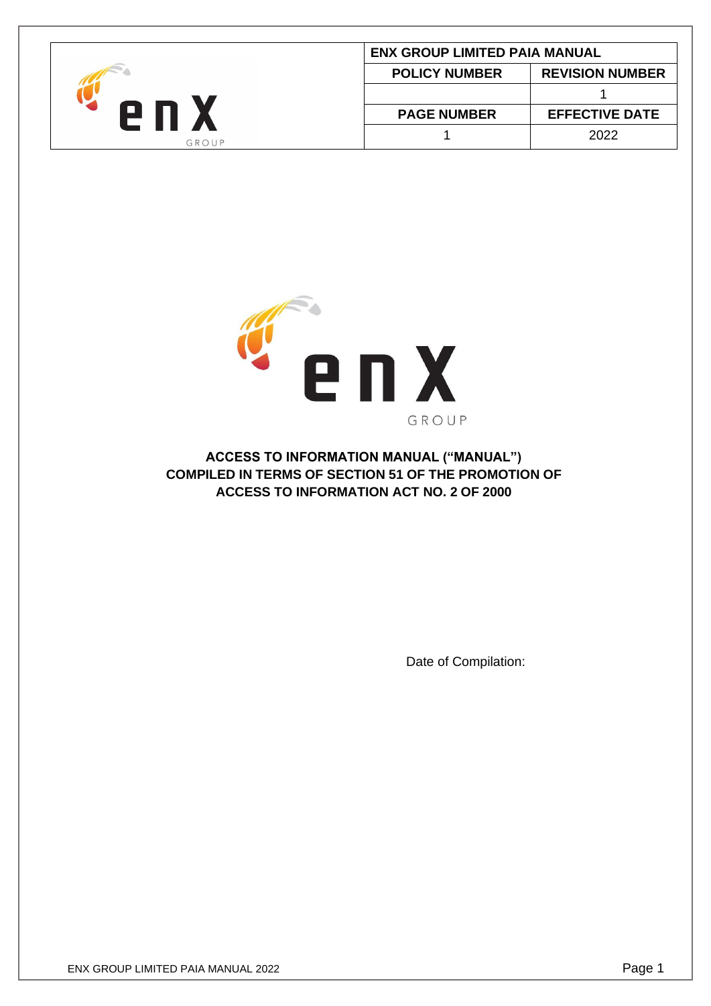| <b>ENX GROUP LIMITED PAIA MANUAL</b> |                      |                        |  |
|--------------------------------------|----------------------|------------------------|--|
|                                      | <b>POLICY NUMBER</b> | <b>REVISION NUMBER</b> |  |
|                                      |                      |                        |  |
|                                      | <b>PAGE NUMBER</b>   | <b>EFFECTIVE DATE</b>  |  |
| GROUP                                |                      | 2022                   |  |



**ACCESS TO INFORMATION MANUAL ("MANUAL") COMPILED IN TERMS OF SECTION 51 OF THE PROMOTION OF ACCESS TO INFORMATION ACT NO. 2 OF 2000**

Date of Compilation: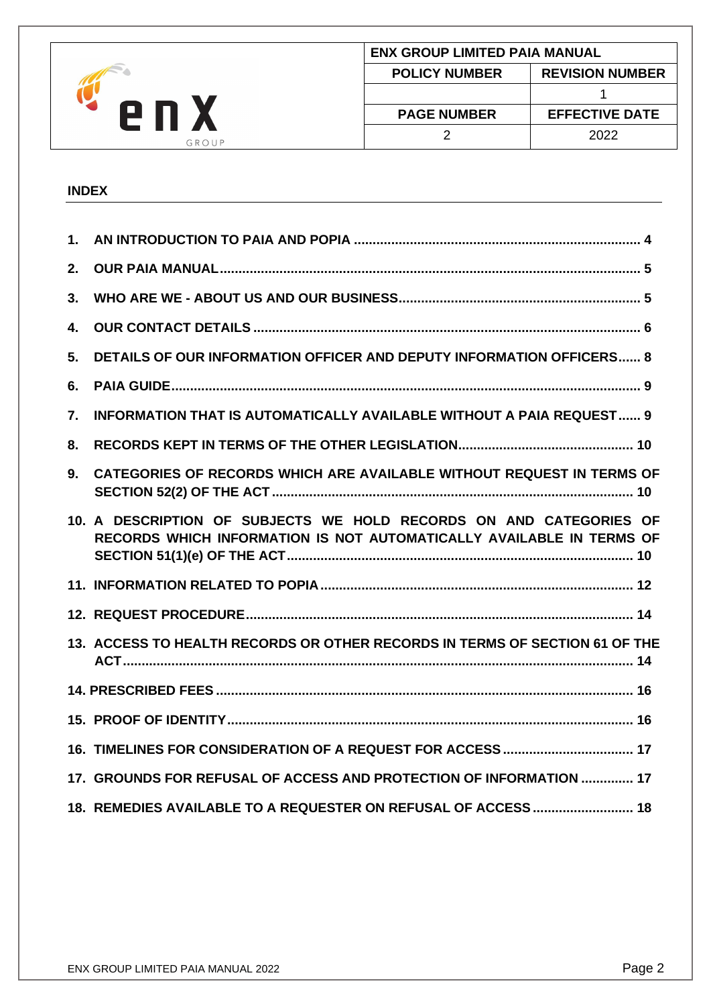|       |                      | <b>ENX GROUP LIMITED PAIA MANUAL</b> |  |  |
|-------|----------------------|--------------------------------------|--|--|
|       | <b>POLICY NUMBER</b> | <b>REVISION NUMBER</b>               |  |  |
| 2 I   |                      |                                      |  |  |
|       | <b>PAGE NUMBER</b>   | <b>EFFECTIVE DATE</b>                |  |  |
| GROUP |                      | 2022                                 |  |  |

# **INDEX**

| 10. A DESCRIPTION OF SUBJECTS WE HOLD RECORDS ON AND CATEGORIES OF          |                                                                                                                                                                                                                                                                                                             |
|-----------------------------------------------------------------------------|-------------------------------------------------------------------------------------------------------------------------------------------------------------------------------------------------------------------------------------------------------------------------------------------------------------|
|                                                                             |                                                                                                                                                                                                                                                                                                             |
|                                                                             |                                                                                                                                                                                                                                                                                                             |
| 13. ACCESS TO HEALTH RECORDS OR OTHER RECORDS IN TERMS OF SECTION 61 OF THE |                                                                                                                                                                                                                                                                                                             |
|                                                                             |                                                                                                                                                                                                                                                                                                             |
|                                                                             |                                                                                                                                                                                                                                                                                                             |
|                                                                             |                                                                                                                                                                                                                                                                                                             |
| 17. GROUNDS FOR REFUSAL OF ACCESS AND PROTECTION OF INFORMATION  17         |                                                                                                                                                                                                                                                                                                             |
| 18. REMEDIES AVAILABLE TO A REQUESTER ON REFUSAL OF ACCESS 18               |                                                                                                                                                                                                                                                                                                             |
|                                                                             | <b>DETAILS OF OUR INFORMATION OFFICER AND DEPUTY INFORMATION OFFICERS 8</b><br><b>INFORMATION THAT IS AUTOMATICALLY AVAILABLE WITHOUT A PAIA REQUEST 9</b><br>CATEGORIES OF RECORDS WHICH ARE AVAILABLE WITHOUT REQUEST IN TERMS OF<br>RECORDS WHICH INFORMATION IS NOT AUTOMATICALLY AVAILABLE IN TERMS OF |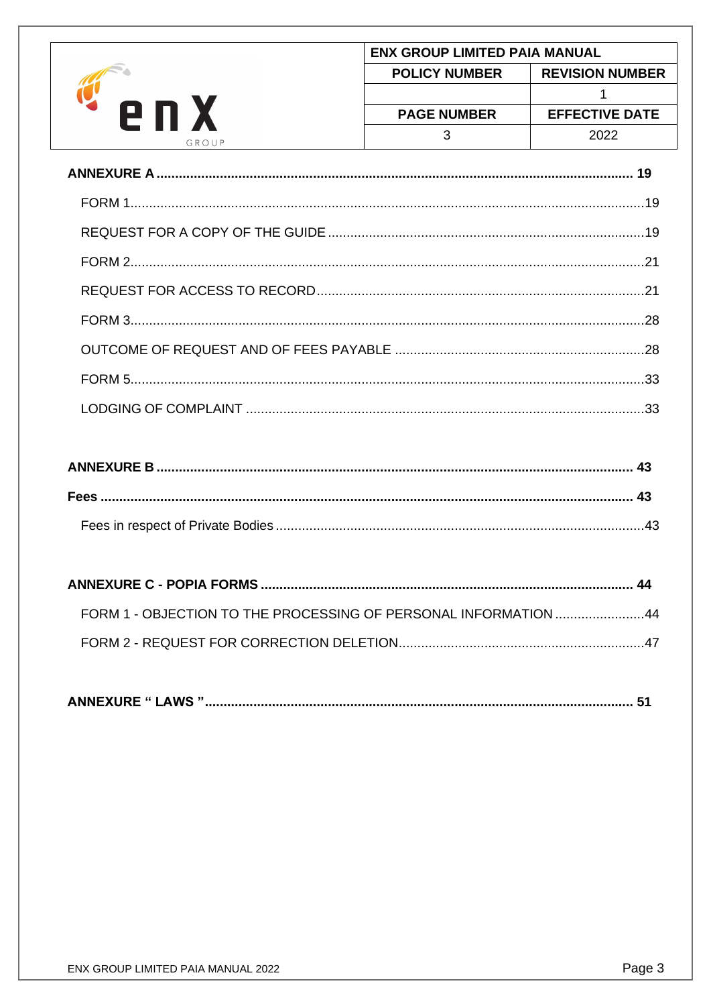|            |                      | <b>ENX GROUP LIMITED PAIA MANUAL</b> |  |  |
|------------|----------------------|--------------------------------------|--|--|
|            | <b>POLICY NUMBER</b> | <b>REVISION NUMBER</b>               |  |  |
| <u> 11</u> |                      |                                      |  |  |
|            | <b>PAGE NUMBER</b>   | <b>EFFECTIVE DATE</b>                |  |  |
| GROUP      |                      | 2022                                 |  |  |

| FORM 1 - OBJECTION TO THE PROCESSING OF PERSONAL INFORMATION 44 |  |
|-----------------------------------------------------------------|--|
|                                                                 |  |

| <b>ANNEXURE " LAWS "</b> |  |
|--------------------------|--|
|--------------------------|--|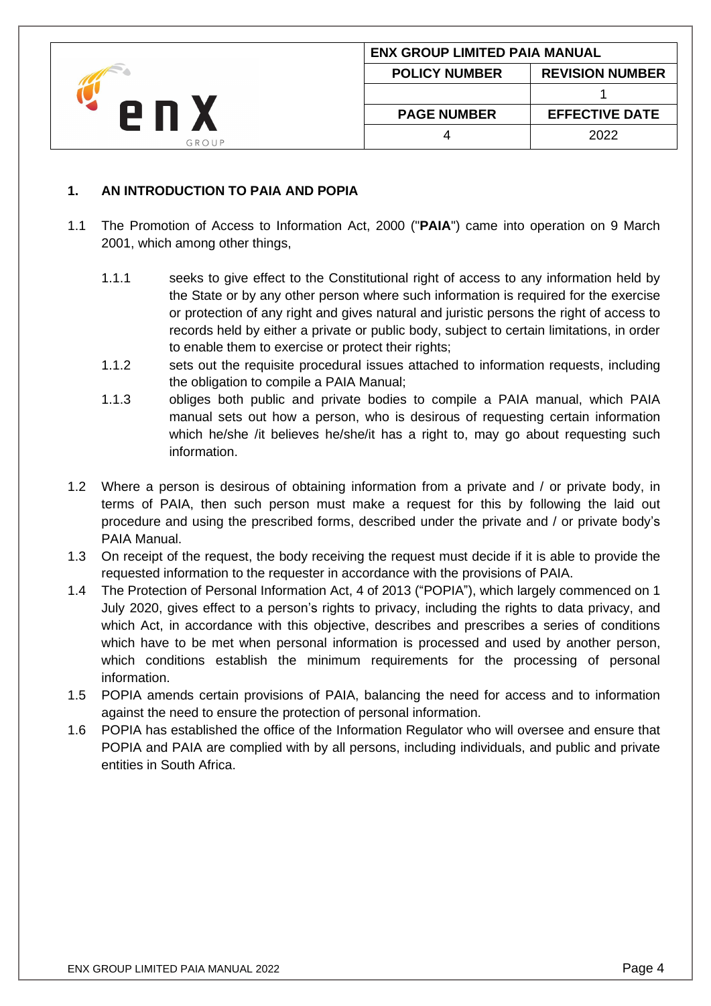|       | <b>ENX GROUP LIMITED PAIA MANUAL</b> |                        |  |
|-------|--------------------------------------|------------------------|--|
|       | <b>POLICY NUMBER</b>                 | <b>REVISION NUMBER</b> |  |
|       |                                      |                        |  |
|       | <b>PAGE NUMBER</b>                   | <b>EFFECTIVE DATE</b>  |  |
| GROUP |                                      | 2022                   |  |

## <span id="page-3-0"></span>**1. AN INTRODUCTION TO PAIA AND POPIA**

- 1.1 The Promotion of Access to Information Act, 2000 ("**PAIA**") came into operation on 9 March 2001, which among other things,
	- 1.1.1 seeks to give effect to the Constitutional right of access to any information held by the State or by any other person where such information is required for the exercise or protection of any right and gives natural and juristic persons the right of access to records held by either a private or public body, subject to certain limitations, in order to enable them to exercise or protect their rights;
	- 1.1.2 sets out the requisite procedural issues attached to information requests, including the obligation to compile a PAIA Manual;
	- 1.1.3 obliges both public and private bodies to compile a PAIA manual, which PAIA manual sets out how a person, who is desirous of requesting certain information which he/she /it believes he/she/it has a right to, may go about requesting such information.
- 1.2 Where a person is desirous of obtaining information from a private and / or private body, in terms of PAIA, then such person must make a request for this by following the laid out procedure and using the prescribed forms, described under the private and / or private body's PAIA Manual.
- 1.3 On receipt of the request, the body receiving the request must decide if it is able to provide the requested information to the requester in accordance with the provisions of PAIA.
- 1.4 The Protection of Personal Information Act, 4 of 2013 ("POPIA"), which largely commenced on 1 July 2020, gives effect to a person's rights to privacy, including the rights to data privacy, and which Act, in accordance with this objective, describes and prescribes a series of conditions which have to be met when personal information is processed and used by another person, which conditions establish the minimum requirements for the processing of personal information.
- 1.5 POPIA amends certain provisions of PAIA, balancing the need for access and to information against the need to ensure the protection of personal information.
- 1.6 POPIA has established the office of the Information Regulator who will oversee and ensure that POPIA and PAIA are complied with by all persons, including individuals, and public and private entities in South Africa.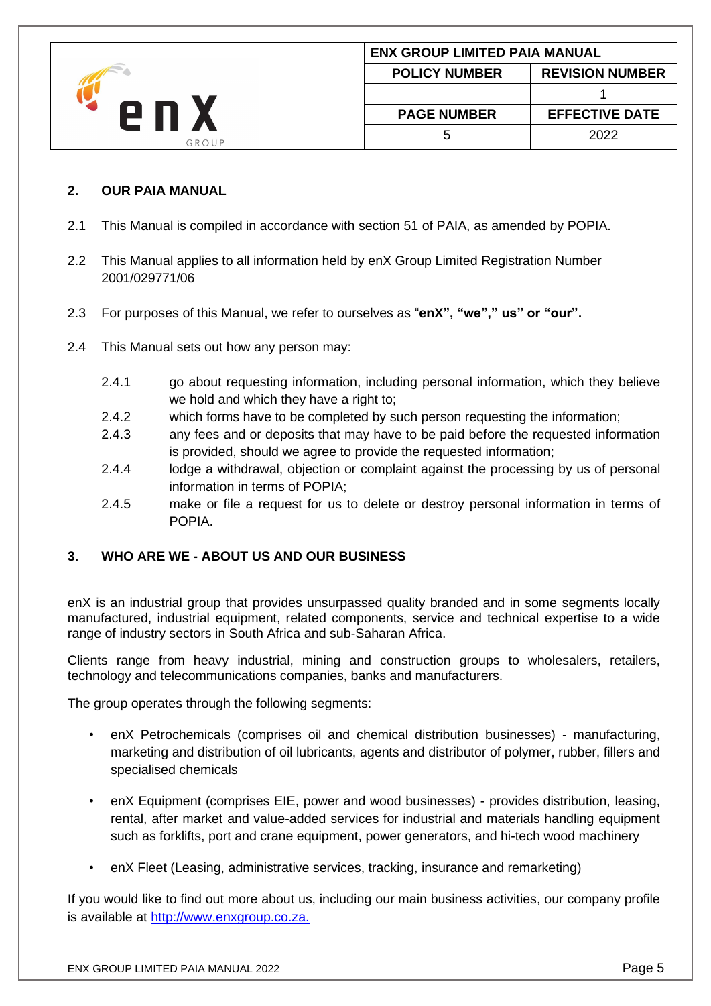|       | <b>ENX GROUP LIMITED PAIA MANUAL</b> |                        |  |
|-------|--------------------------------------|------------------------|--|
|       | <b>POLICY NUMBER</b>                 | <b>REVISION NUMBER</b> |  |
|       |                                      |                        |  |
|       | <b>PAGE NUMBER</b>                   | <b>EFFECTIVE DATE</b>  |  |
| GROUP |                                      | 2022                   |  |

### <span id="page-4-0"></span>**2. OUR PAIA MANUAL**

- 2.1 This Manual is compiled in accordance with section 51 of PAIA, as amended by POPIA.
- 2.2 This Manual applies to all information held by enX Group Limited Registration Number 2001/029771/06
- 2.3 For purposes of this Manual, we refer to ourselves as "**enX", "we"," us" or "our".**
- 2.4 This Manual sets out how any person may:
	- 2.4.1 go about requesting information, including personal information, which they believe we hold and which they have a right to:
	- 2.4.2 which forms have to be completed by such person requesting the information;
	- 2.4.3 any fees and or deposits that may have to be paid before the requested information is provided, should we agree to provide the requested information;
	- 2.4.4 lodge a withdrawal, objection or complaint against the processing by us of personal information in terms of POPIA;
	- 2.4.5 make or file a request for us to delete or destroy personal information in terms of **POPIA**

# <span id="page-4-1"></span>**3. WHO ARE WE - ABOUT US AND OUR BUSINESS**

enX is an industrial group that provides unsurpassed quality branded and in some segments locally manufactured, industrial equipment, related components, service and technical expertise to a wide range of industry sectors in South Africa and sub-Saharan Africa.

Clients range from heavy industrial, mining and construction groups to wholesalers, retailers, technology and telecommunications companies, banks and manufacturers.

The group operates through the following segments:

- enX Petrochemicals (comprises oil and chemical distribution businesses) manufacturing, marketing and distribution of oil lubricants, agents and distributor of polymer, rubber, fillers and specialised chemicals
- enX Equipment (comprises EIE, power and wood businesses) provides distribution, leasing, rental, after market and value-added services for industrial and materials handling equipment such as forklifts, port and crane equipment, power generators, and hi-tech wood machinery
- enX Fleet (Leasing, administrative services, tracking, insurance and remarketing)

If you would like to find out more about us, including our main business activities, our company profile is available at [http://www.enxgroup.co.za.](http://www.enxgroup.co.za./)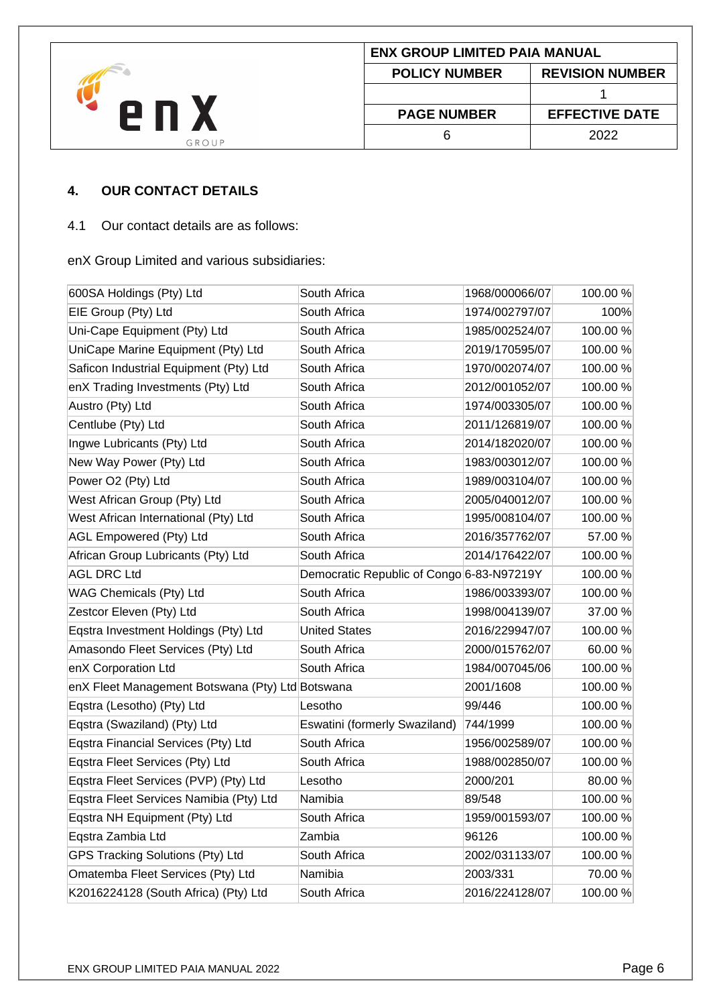

## <span id="page-5-0"></span>**4. OUR CONTACT DETAILS**

#### 4.1 Our contact details are as follows:

enX Group Limited and various subsidiaries:

| 600SA Holdings (Pty) Ltd                         | South Africa                              | 1968/000066/07 | 100.00% |
|--------------------------------------------------|-------------------------------------------|----------------|---------|
| EIE Group (Pty) Ltd                              | South Africa                              | 1974/002797/07 | 100%    |
| Uni-Cape Equipment (Pty) Ltd                     | South Africa                              | 1985/002524/07 | 100.00% |
| UniCape Marine Equipment (Pty) Ltd               | South Africa                              | 2019/170595/07 | 100.00% |
| Saficon Industrial Equipment (Pty) Ltd           | South Africa                              | 1970/002074/07 | 100.00% |
| enX Trading Investments (Pty) Ltd                | South Africa                              | 2012/001052/07 | 100.00% |
| Austro (Pty) Ltd                                 | South Africa                              | 1974/003305/07 | 100.00% |
| Centlube (Pty) Ltd                               | South Africa                              | 2011/126819/07 | 100.00% |
| Ingwe Lubricants (Pty) Ltd                       | South Africa                              | 2014/182020/07 | 100.00% |
| New Way Power (Pty) Ltd                          | South Africa                              | 1983/003012/07 | 100.00% |
| Power O2 (Pty) Ltd                               | South Africa                              | 1989/003104/07 | 100.00% |
| West African Group (Pty) Ltd                     | South Africa                              | 2005/040012/07 | 100.00% |
| West African International (Pty) Ltd             | South Africa                              | 1995/008104/07 | 100.00% |
| <b>AGL Empowered (Pty) Ltd</b>                   | South Africa                              | 2016/357762/07 | 57.00 % |
| African Group Lubricants (Pty) Ltd               | South Africa                              | 2014/176422/07 | 100.00% |
| <b>AGL DRC Ltd</b>                               | Democratic Republic of Congo 6-83-N97219Y |                | 100.00% |
| WAG Chemicals (Pty) Ltd                          | South Africa                              | 1986/003393/07 | 100.00% |
| Zestcor Eleven (Pty) Ltd                         | South Africa                              | 1998/004139/07 | 37.00 % |
| Eqstra Investment Holdings (Pty) Ltd             | <b>United States</b>                      | 2016/229947/07 | 100.00% |
| Amasondo Fleet Services (Pty) Ltd                | South Africa                              | 2000/015762/07 | 60.00%  |
| enX Corporation Ltd                              | South Africa                              | 1984/007045/06 | 100.00% |
| enX Fleet Management Botswana (Pty) Ltd Botswana |                                           | 2001/1608      | 100.00% |
| Eqstra (Lesotho) (Pty) Ltd                       | Lesotho                                   | 99/446         | 100.00% |
| Eqstra (Swaziland) (Pty) Ltd                     | Eswatini (formerly Swaziland)             | 744/1999       | 100.00% |
| Eqstra Financial Services (Pty) Ltd              | South Africa                              | 1956/002589/07 | 100.00% |
| Eqstra Fleet Services (Pty) Ltd                  | South Africa                              | 1988/002850/07 | 100.00% |
| Eqstra Fleet Services (PVP) (Pty) Ltd            | Lesotho                                   | 2000/201       | 80.00%  |
| Eqstra Fleet Services Namibia (Pty) Ltd          | Namibia                                   | 89/548         | 100.00% |
| Eqstra NH Equipment (Pty) Ltd                    | South Africa                              | 1959/001593/07 | 100.00% |
| Eqstra Zambia Ltd                                | Zambia                                    | 96126          | 100.00% |
| GPS Tracking Solutions (Pty) Ltd                 | South Africa                              | 2002/031133/07 | 100.00% |
| Omatemba Fleet Services (Pty) Ltd                | Namibia                                   | 2003/331       | 70.00 % |
| K2016224128 (South Africa) (Pty) Ltd             | South Africa                              | 2016/224128/07 | 100.00% |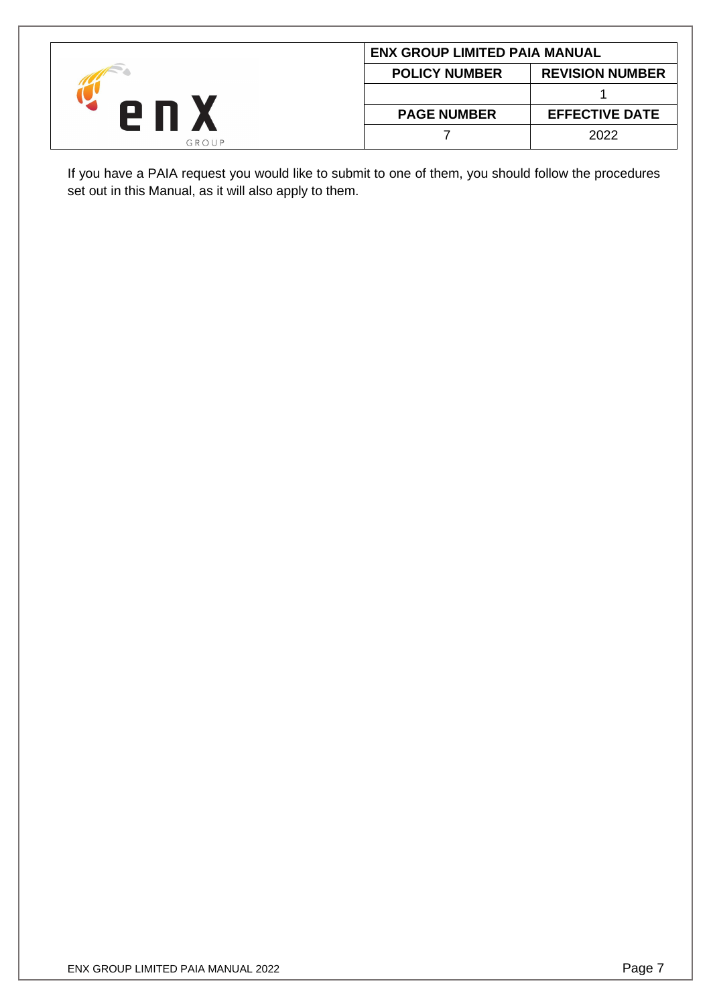|       | <b>ENX GROUP LIMITED PAIA MANUAL</b> |                        |  |
|-------|--------------------------------------|------------------------|--|
|       | <b>POLICY NUMBER</b>                 | <b>REVISION NUMBER</b> |  |
|       |                                      |                        |  |
|       | <b>PAGE NUMBER</b>                   | <b>EFFECTIVE DATE</b>  |  |
| GROUP |                                      | 2022                   |  |

If you have a PAIA request you would like to submit to one of them, you should follow the procedures set out in this Manual, as it will also apply to them.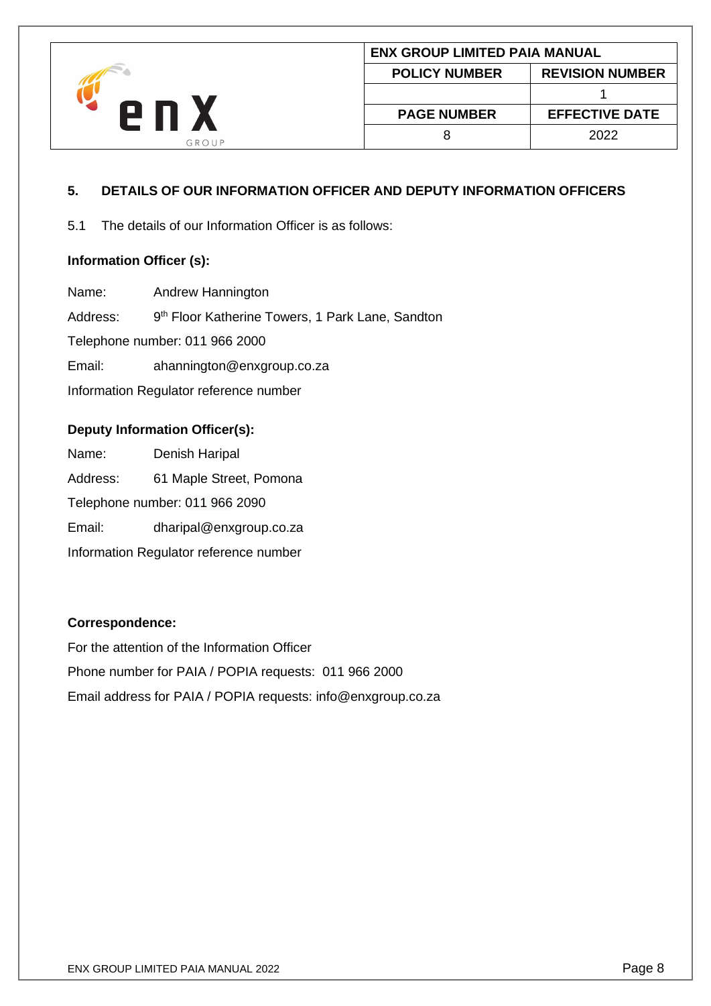

# <span id="page-7-0"></span>**5. DETAILS OF OUR INFORMATION OFFICER AND DEPUTY INFORMATION OFFICERS**

5.1 The details of our Information Officer is as follows:

## **Information Officer (s):**

Name: Andrew Hannington Address: 9<sup>th</sup> Floor Katherine Towers, 1 Park Lane, Sandton Telephone number: [011 966](tel:0112228300) 2000 Email: ahannington@enxgroup.co.za Information Regulator reference number

### **Deputy Information Officer(s):**

Name: Denish Haripal Address: 61 Maple Street, Pomona Telephone number: [011 966](tel:0112228300) 2090 Email: dharipal@enxgroup.co.za Information Regulator reference number

#### **Correspondence:**

For the attention of the Information Officer Phone number for PAIA / POPIA requests: [011](tel:0112228300) 966 2000 Email address for PAIA / POPIA requests: info@enxgroup.co.za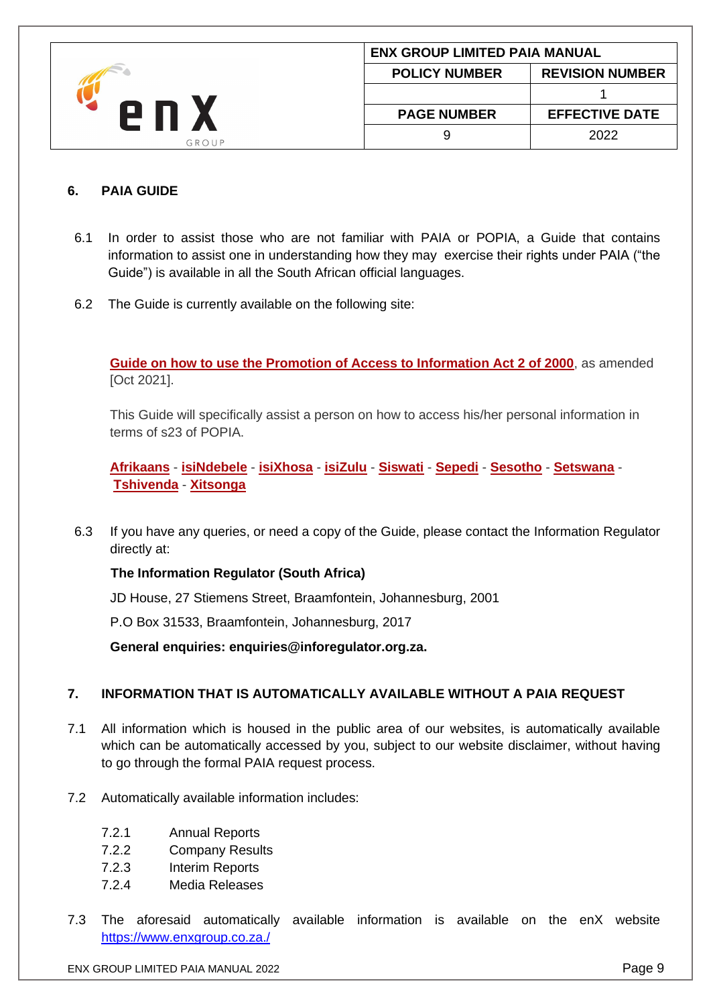|              | <b>ENX GROUP LIMITED PAIA MANUAL</b> |                        |
|--------------|--------------------------------------|------------------------|
| 2 N<br>GROUP | <b>POLICY NUMBER</b>                 | <b>REVISION NUMBER</b> |
|              |                                      |                        |
|              | <b>PAGE NUMBER</b>                   | <b>EFFECTIVE DATE</b>  |
|              |                                      | 2022                   |

## <span id="page-8-0"></span>**6. PAIA GUIDE**

- 6.1 In order to assist those who are not familiar with PAIA or POPIA, a Guide that contains information to assist one in understanding how they may exercise their rights under PAIA ("the Guide") is available in all the South African official languages.
- 6.2 The Guide is currently available on the following site:

**[Guide on how to use the Promotion of Access to Information Act 2 of 2000](https://www.justice.gov.za/inforeg/docs/misc/PAIA-Guide-English_20210905.pdf)**, as amended [Oct 2021].

This Guide will specifically assist a person on how to access his/her personal information in terms of s23 of POPIA.

**[Afrikaans](https://www.justice.gov.za/inforeg/docs/misc/PAIA-Guide-Afrikaans_20210905.pdf)** - **[isiNdebele](https://www.justice.gov.za/inforeg/docs/misc/PAIA-Guide-Ndebele_20210914.pdf)** - **[isiXhosa](https://www.justice.gov.za/inforeg/docs/misc/PAIA-Guide-Xhosa_20210914.pdf)** - **[isiZulu](https://www.justice.gov.za/inforeg/docs/misc/PAIA-Guide-isiZulu_20210905.pdf)** - **[Siswati](https://www.justice.gov.za/inforeg/docs/misc/PAIA-Guide-Swati_20210923.pdf)** - **[Sepedi](https://www.justice.gov.za/inforeg/docs/misc/PAIA-Guide-Sepedi_20210910.pdf)** - **[Sesotho](https://www.justice.gov.za/inforeg/docs/misc/PAIA-Guide-SeSotho_20210914.pdf)** - **[Setswana](https://www.justice.gov.za/inforeg/docs/misc/PAIA-Guide-Tswana_20210914.pdf)** - **[Tshivenda](https://www.justice.gov.za/inforeg/docs/misc/PAIA-Guide-Venda_20210914.pdf)** - **[Xitsonga](https://www.justice.gov.za/inforeg/docs/misc/PAIA-Guide-Tsonga_20210914.pdf)**

6.3 If you have any queries, or need a copy of the Guide, please contact the Information Regulator directly at:

**The Information Regulator (South Africa)**

JD House, 27 Stiemens Street, Braamfontein, Johannesburg, 2001

P.O Box 31533, Braamfontein, Johannesburg, 2017

**General enquiries: enquiries@inforegulator.org.za.**

# <span id="page-8-1"></span>**7. INFORMATION THAT IS AUTOMATICALLY AVAILABLE WITHOUT A PAIA REQUEST**

- 7.1 All information which is housed in the public area of our websites, is automatically available which can be automatically accessed by you, subject to our website disclaimer, without having to go through the formal PAIA request process.
- 7.2 Automatically available information includes:
	- 7.2.1 Annual Reports
	- 7.2.2 Company Results
	- 7.2.3 Interim Reports
	- 7.2.4 Media Releases
- 7.3 The aforesaid automatically available information is available on the enX website <https://www.enxgroup.co.za./>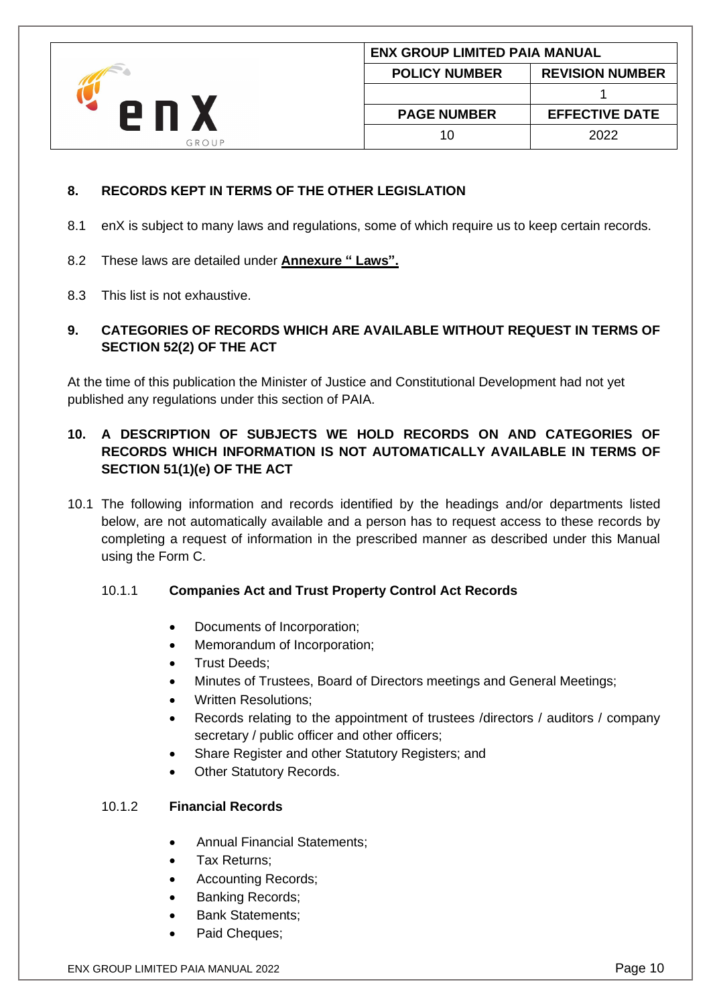|       |                      | <b>ENX GROUP LIMITED PAIA MANUAL</b> |  |
|-------|----------------------|--------------------------------------|--|
| GROUP | <b>POLICY NUMBER</b> | <b>REVISION NUMBER</b>               |  |
|       |                      |                                      |  |
|       | <b>PAGE NUMBER</b>   | <b>EFFECTIVE DATE</b>                |  |
|       | 10                   | 2022                                 |  |

# <span id="page-9-0"></span>**8. RECORDS KEPT IN TERMS OF THE OTHER LEGISLATION**

- 8.1 enX is subject to many laws and regulations, some of which require us to keep certain records.
- 8.2 These laws are detailed under **Annexure " Laws".**
- 8.3 This list is not exhaustive.

# <span id="page-9-1"></span>**9. CATEGORIES OF RECORDS WHICH ARE AVAILABLE WITHOUT REQUEST IN TERMS OF SECTION 52(2) OF THE ACT**

At the time of this publication the Minister of Justice and Constitutional Development had not yet published any regulations under this section of PAIA.

# <span id="page-9-2"></span>**10. A DESCRIPTION OF SUBJECTS WE HOLD RECORDS ON AND CATEGORIES OF RECORDS WHICH INFORMATION IS NOT AUTOMATICALLY AVAILABLE IN TERMS OF SECTION 51(1)(e) OF THE ACT**

10.1 The following information and records identified by the headings and/or departments listed below, are not automatically available and a person has to request access to these records by completing a request of information in the prescribed manner as described under this Manual using the Form C.

# 10.1.1 **Companies Act and Trust Property Control Act Records**

- Documents of Incorporation;
- Memorandum of Incorporation;
- Trust Deeds;
- Minutes of Trustees, Board of Directors meetings and General Meetings;
- Written Resolutions;
- Records relating to the appointment of trustees /directors / auditors / company secretary / public officer and other officers;
- Share Register and other Statutory Registers; and
- **Other Statutory Records.**

# 10.1.2 **Financial Records**

- Annual Financial Statements:
- Tax Returns;
- Accounting Records;
- Banking Records:
- Bank Statements:
- Paid Cheques;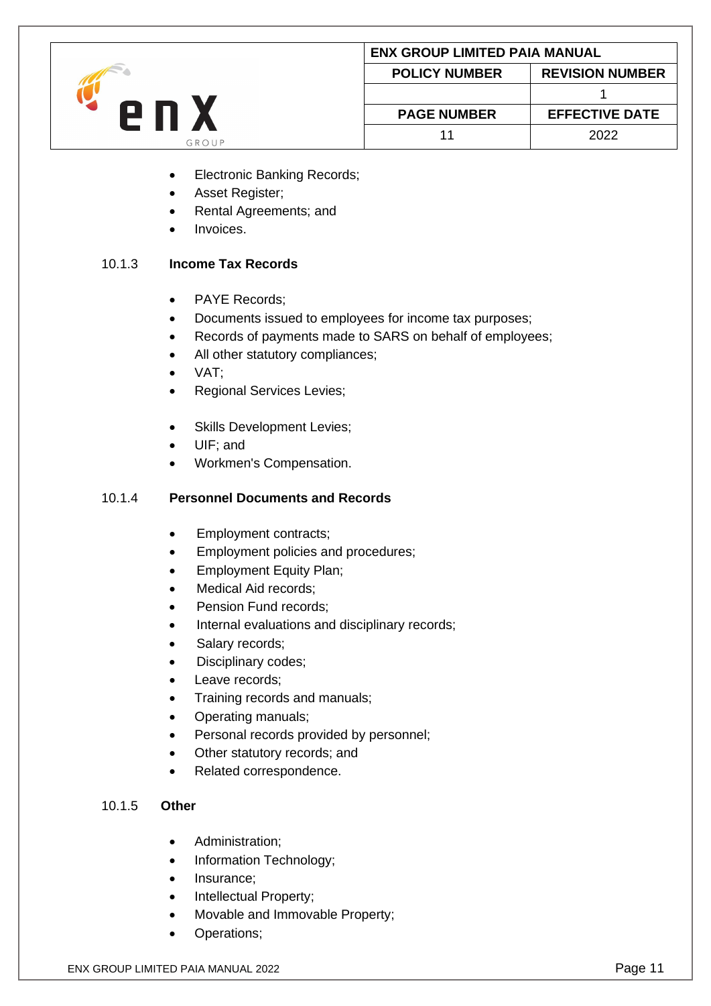

- Electronic Banking Records;
- Asset Register;
- Rental Agreements; and
- Invoices.

## 10.1.3 **Income Tax Records**

- PAYE Records;
- Documents issued to employees for income tax purposes;
- Records of payments made to SARS on behalf of employees;
- All other statutory compliances;
- VAT;
- Regional Services Levies;
- Skills Development Levies;
- UIF; and
- Workmen's Compensation.

## 10.1.4 **Personnel Documents and Records**

- Employment contracts;
- Employment policies and procedures;
- Employment Equity Plan;
- Medical Aid records;
- Pension Fund records:
- Internal evaluations and disciplinary records;
- Salary records;
- Disciplinary codes;
- Leave records;
- Training records and manuals;
- Operating manuals;
- Personal records provided by personnel;
- Other statutory records; and
- Related correspondence.

#### 10.1.5 **Other**

- Administration;
- Information Technology;
- Insurance;
- Intellectual Property;
- Movable and Immovable Property;
- Operations;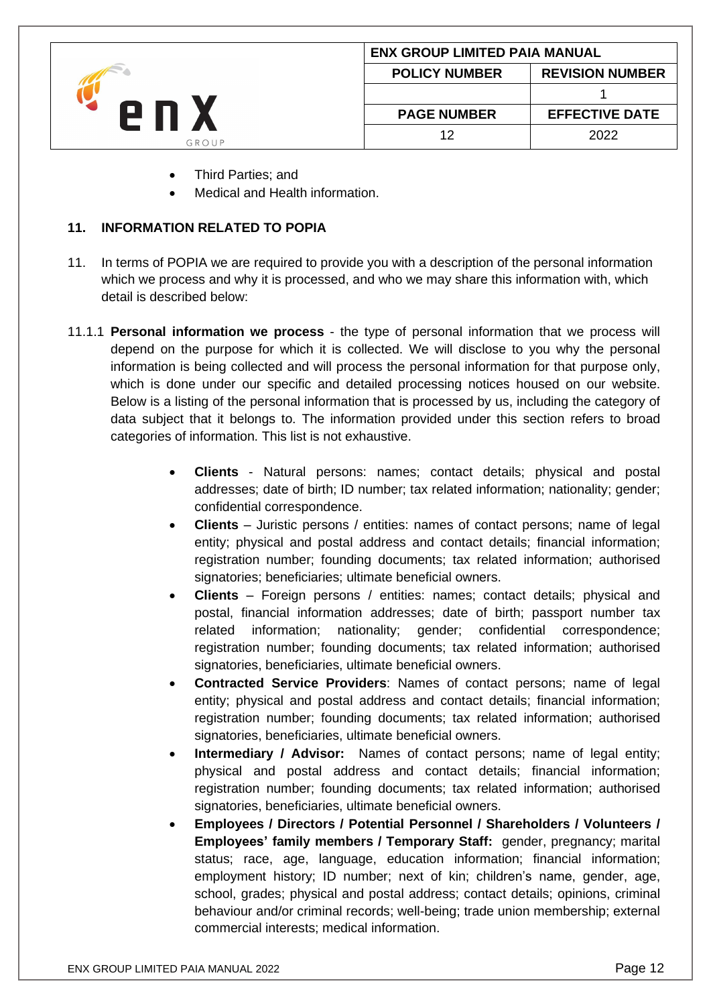|       | <b>ENX GROUP LIMITED PAIA MANUAL</b> |                        |
|-------|--------------------------------------|------------------------|
| GROUP | <b>POLICY NUMBER</b>                 | <b>REVISION NUMBER</b> |
|       |                                      |                        |
|       | <b>PAGE NUMBER</b>                   | <b>EFFECTIVE DATE</b>  |
|       | 12                                   | 2022                   |

- Third Parties; and
- Medical and Health information.

### <span id="page-11-0"></span>**11. INFORMATION RELATED TO POPIA**

- 11. In terms of POPIA we are required to provide you with a description of the personal information which we process and why it is processed, and who we may share this information with, which detail is described below:
- 11.1.1 **Personal information we process** the type of personal information that we process will depend on the purpose for which it is collected. We will disclose to you why the personal information is being collected and will process the personal information for that purpose only, which is done under our specific and detailed processing notices housed on our website. Below is a listing of the personal information that is processed by us, including the category of data subject that it belongs to. The information provided under this section refers to broad categories of information. This list is not exhaustive.
	- **Clients**  Natural persons: names; contact details; physical and postal addresses; date of birth; ID number; tax related information; nationality; gender; confidential correspondence.
	- **Clients** Juristic persons / entities: names of contact persons; name of legal entity; physical and postal address and contact details; financial information; registration number; founding documents; tax related information; authorised signatories; beneficiaries; ultimate beneficial owners.
	- **Clients**  Foreign persons / entities: names; contact details; physical and postal, financial information addresses; date of birth; passport number tax related information; nationality; gender; confidential correspondence; registration number; founding documents; tax related information; authorised signatories, beneficiaries, ultimate beneficial owners.
	- **Contracted Service Providers**: Names of contact persons; name of legal entity; physical and postal address and contact details; financial information; registration number; founding documents; tax related information; authorised signatories, beneficiaries, ultimate beneficial owners.
	- **Intermediary / Advisor:** Names of contact persons; name of legal entity; physical and postal address and contact details; financial information; registration number; founding documents; tax related information; authorised signatories, beneficiaries, ultimate beneficial owners.
	- **Employees / Directors / Potential Personnel / Shareholders / Volunteers / Employees' family members / Temporary Staff:** gender, pregnancy; marital status; race, age, language, education information; financial information; employment history; ID number; next of kin; children's name, gender, age, school, grades; physical and postal address; contact details; opinions, criminal behaviour and/or criminal records; well-being; trade union membership; external commercial interests; medical information.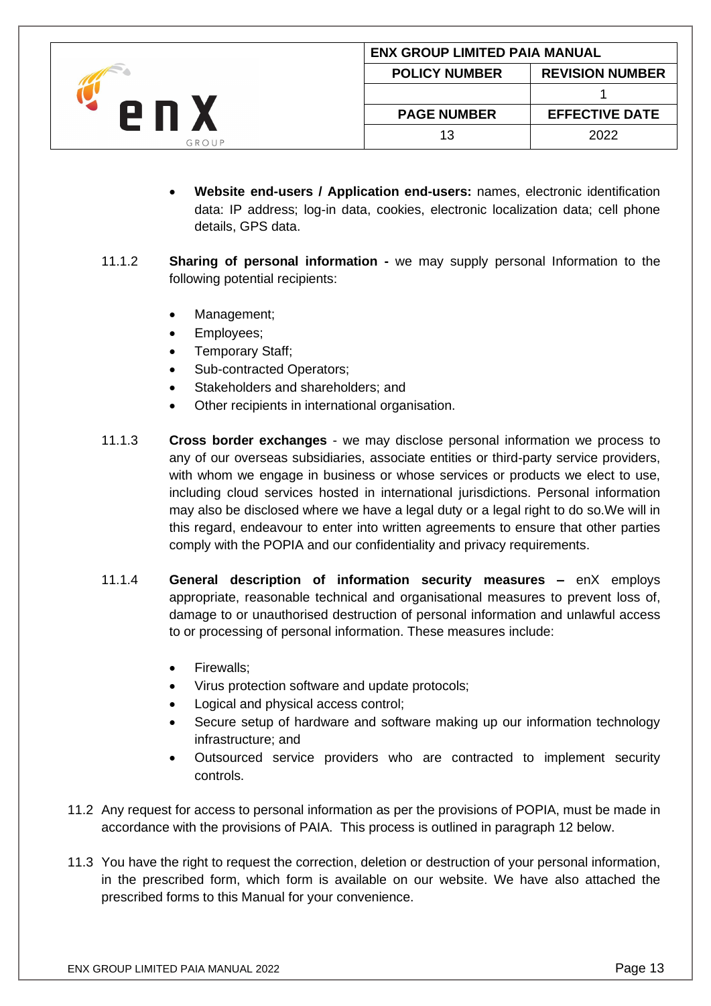|              |                      | <b>ENX GROUP LIMITED PAIA MANUAL</b> |  |
|--------------|----------------------|--------------------------------------|--|
| 2 N<br>GROUP | <b>POLICY NUMBER</b> | <b>REVISION NUMBER</b>               |  |
|              |                      |                                      |  |
|              | <b>PAGE NUMBER</b>   | <b>EFFECTIVE DATE</b>                |  |
|              | 13                   | 2022                                 |  |

- **Website end-users / Application end-users:** names, electronic identification data: IP address; log-in data, cookies, electronic localization data; cell phone details, GPS data.
- 11.1.2 **Sharing of personal information -** we may supply personal Information to the following potential recipients:
	- Management;
	- Employees;
	- Temporary Staff;
	- Sub-contracted Operators:
	- Stakeholders and shareholders; and
	- Other recipients in international organisation.
- 11.1.3 **Cross border exchanges** we may disclose personal information we process to any of our overseas subsidiaries, associate entities or third-party service providers, with whom we engage in business or whose services or products we elect to use, including cloud services hosted in international jurisdictions. Personal information may also be disclosed where we have a legal duty or a legal right to do so.We will in this regard, endeavour to enter into written agreements to ensure that other parties comply with the POPIA and our confidentiality and privacy requirements.
- 11.1.4 **General description of information security measures –** enX employs appropriate, reasonable technical and organisational measures to prevent loss of, damage to or unauthorised destruction of personal information and unlawful access to or processing of personal information. These measures include:
	- Firewalls;
	- Virus protection software and update protocols;
	- Logical and physical access control;
	- Secure setup of hardware and software making up our information technology infrastructure; and
	- Outsourced service providers who are contracted to implement security controls.
- 11.2 Any request for access to personal information as per the provisions of POPIA, must be made in accordance with the provisions of PAIA. This process is outlined in paragraph 12 below.
- 11.3 You have the right to request the correction, deletion or destruction of your personal information, in the prescribed form, which form is available on our website. We have also attached the prescribed forms to this Manual for your convenience.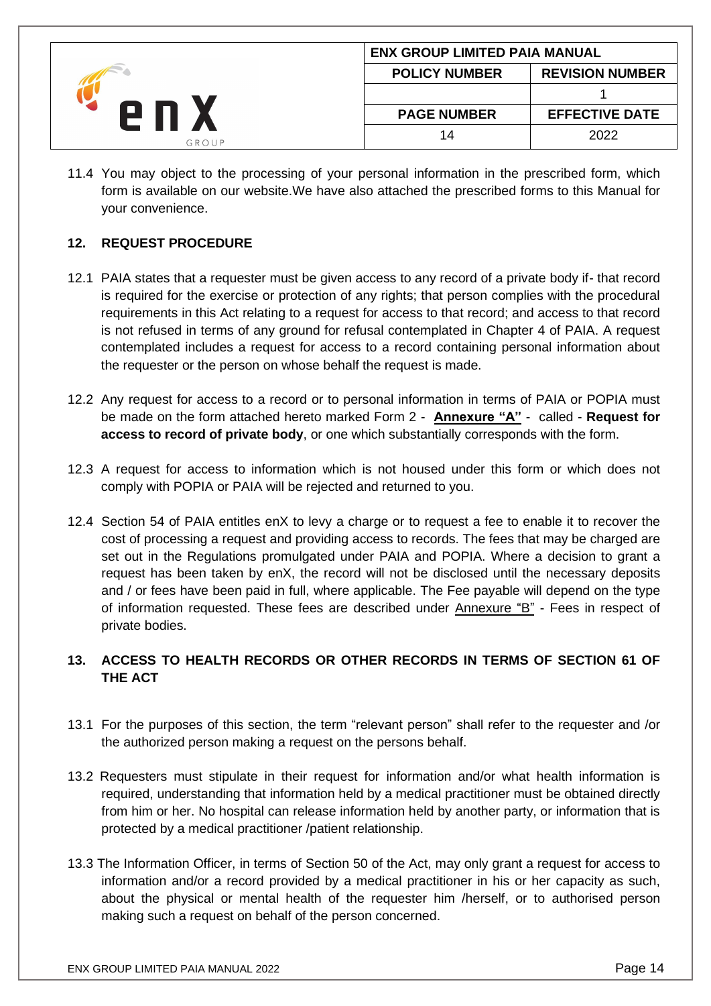|       | <b>ENX GROUP LIMITED PAIA MANUAL</b> |                        |
|-------|--------------------------------------|------------------------|
| GROUP | <b>POLICY NUMBER</b>                 | <b>REVISION NUMBER</b> |
|       |                                      |                        |
|       | <b>PAGE NUMBER</b>                   | <b>EFFECTIVE DATE</b>  |
|       | 14                                   | 2022                   |

11.4 You may object to the processing of your personal information in the prescribed form, which form is available on our website.We have also attached the prescribed forms to this Manual for your convenience.

# <span id="page-13-0"></span>**12. REQUEST PROCEDURE**

- 12.1 PAIA states that a requester must be given access to any record of a private body if- that record is required for the exercise or protection of any rights; that person complies with the procedural requirements in this Act relating to a request for access to that record; and access to that record is not refused in terms of any ground for refusal contemplated in Chapter 4 of PAIA. A request contemplated includes a request for access to a record containing personal information about the requester or the person on whose behalf the request is made.
- 12.2 Any request for access to a record or to personal information in terms of PAIA or POPIA must be made on the form attached hereto marked Form 2 - **Annexure "A"** - called - **Request for access to record of private body**, or one which substantially corresponds with the form.
- 12.3 A request for access to information which is not housed under this form or which does not comply with POPIA or PAIA will be rejected and returned to you.
- 12.4 Section 54 of PAIA entitles enX to levy a charge or to request a fee to enable it to recover the cost of processing a request and providing access to records. The fees that may be charged are set out in the Regulations promulgated under PAIA and POPIA. Where a decision to grant a request has been taken by enX, the record will not be disclosed until the necessary deposits and / or fees have been paid in full, where applicable. The Fee payable will depend on the type of information requested. These fees are described under Annexure "B" - Fees in respect of private bodies.

# <span id="page-13-1"></span>**13. ACCESS TO HEALTH RECORDS OR OTHER RECORDS IN TERMS OF SECTION 61 OF THE ACT**

- 13.1 For the purposes of this section, the term "relevant person" shall refer to the requester and /or the authorized person making a request on the persons behalf.
- 13.2 Requesters must stipulate in their request for information and/or what health information is required, understanding that information held by a medical practitioner must be obtained directly from him or her. No hospital can release information held by another party, or information that is protected by a medical practitioner /patient relationship.
- 13.3 The Information Officer, in terms of Section 50 of the Act, may only grant a request for access to information and/or a record provided by a medical practitioner in his or her capacity as such, about the physical or mental health of the requester him /herself, or to authorised person making such a request on behalf of the person concerned.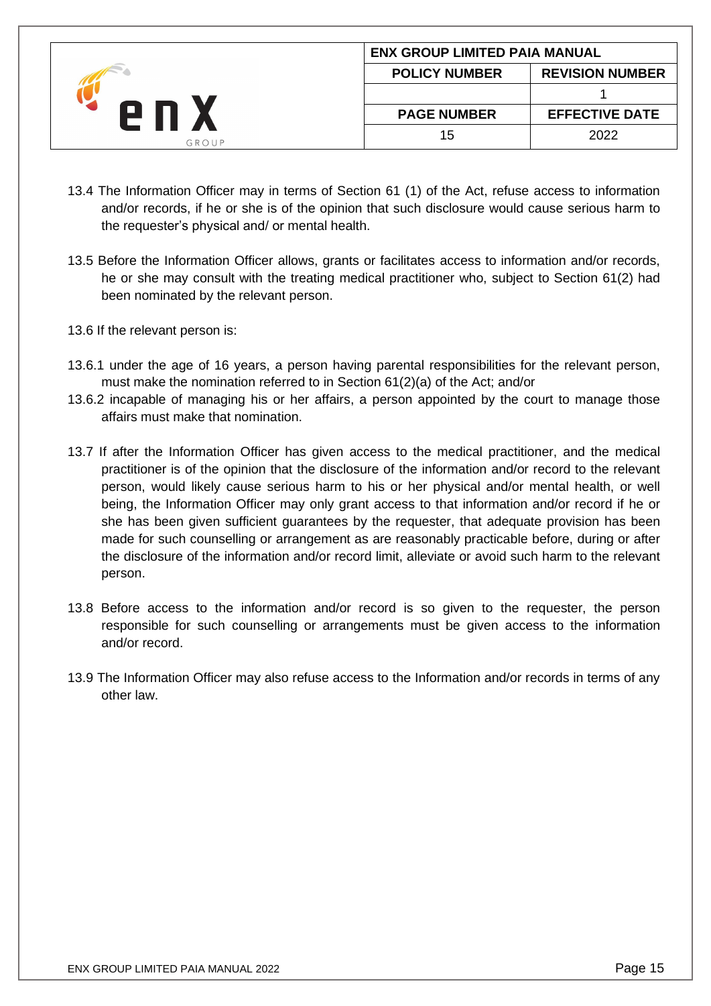|       | <b>ENX GROUP LIMITED PAIA MANUAL</b> |                        |
|-------|--------------------------------------|------------------------|
| GROUP | <b>POLICY NUMBER</b>                 | <b>REVISION NUMBER</b> |
|       |                                      |                        |
|       | <b>PAGE NUMBER</b>                   | <b>EFFECTIVE DATE</b>  |
|       | 15                                   | 2022                   |

- 13.4 The Information Officer may in terms of Section 61 (1) of the Act, refuse access to information and/or records, if he or she is of the opinion that such disclosure would cause serious harm to the requester's physical and/ or mental health.
- 13.5 Before the Information Officer allows, grants or facilitates access to information and/or records, he or she may consult with the treating medical practitioner who, subject to Section 61(2) had been nominated by the relevant person.
- 13.6 If the relevant person is:
- 13.6.1 under the age of 16 years, a person having parental responsibilities for the relevant person, must make the nomination referred to in Section 61(2)(a) of the Act; and/or
- 13.6.2 incapable of managing his or her affairs, a person appointed by the court to manage those affairs must make that nomination.
- 13.7 If after the Information Officer has given access to the medical practitioner, and the medical practitioner is of the opinion that the disclosure of the information and/or record to the relevant person, would likely cause serious harm to his or her physical and/or mental health, or well being, the Information Officer may only grant access to that information and/or record if he or she has been given sufficient guarantees by the requester, that adequate provision has been made for such counselling or arrangement as are reasonably practicable before, during or after the disclosure of the information and/or record limit, alleviate or avoid such harm to the relevant person.
- 13.8 Before access to the information and/or record is so given to the requester, the person responsible for such counselling or arrangements must be given access to the information and/or record.
- 13.9 The Information Officer may also refuse access to the Information and/or records in terms of any other law.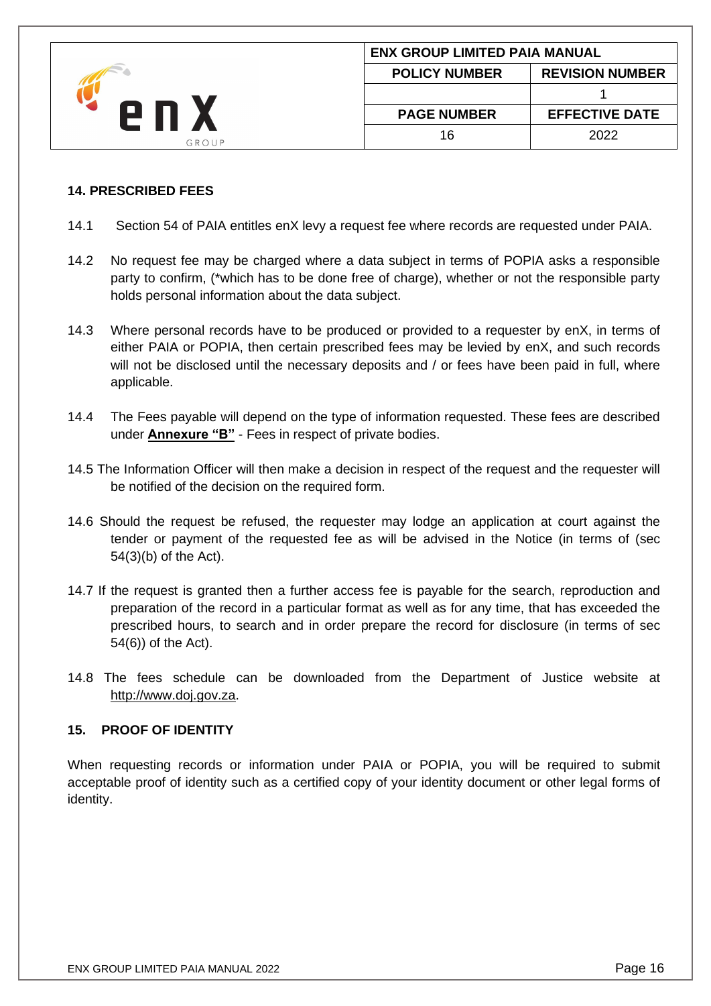|       | <b>ENX GROUP LIMITED PAIA MANUAL</b> |                        |
|-------|--------------------------------------|------------------------|
| GROUP | <b>POLICY NUMBER</b>                 | <b>REVISION NUMBER</b> |
|       |                                      |                        |
|       | <b>PAGE NUMBER</b>                   | <b>EFFECTIVE DATE</b>  |
|       | 16                                   | 2022                   |

### <span id="page-15-0"></span>**14. PRESCRIBED FEES**

- 14.1 Section 54 of PAIA entitles enX levy a request fee where records are requested under PAIA.
- 14.2 No request fee may be charged where a data subject in terms of POPIA asks a responsible party to confirm, (\*which has to be done free of charge), whether or not the responsible party holds personal information about the data subject.
- 14.3 Where personal records have to be produced or provided to a requester by enX, in terms of either PAIA or POPIA, then certain prescribed fees may be levied by enX, and such records will not be disclosed until the necessary deposits and / or fees have been paid in full, where applicable.
- 14.4 The Fees payable will depend on the type of information requested. These fees are described under **Annexure "B"** - Fees in respect of private bodies.
- 14.5 The Information Officer will then make a decision in respect of the request and the requester will be notified of the decision on the required form.
- 14.6 Should the request be refused, the requester may lodge an application at court against the tender or payment of the requested fee as will be advised in the Notice (in terms of (sec 54(3)(b) of the Act).
- 14.7 If the request is granted then a further access fee is payable for the search, reproduction and preparation of the record in a particular format as well as for any time, that has exceeded the prescribed hours, to search and in order prepare the record for disclosure (in terms of sec 54(6)) of the Act).
- 14.8 The fees schedule can be downloaded from the Department of Justice website at [http://www.doj.gov.za.](http://www.doj.gov.za/)

# <span id="page-15-1"></span>**15. PROOF OF IDENTITY**

When requesting records or information under PAIA or POPIA, you will be required to submit acceptable proof of identity such as a certified copy of your identity document or other legal forms of identity.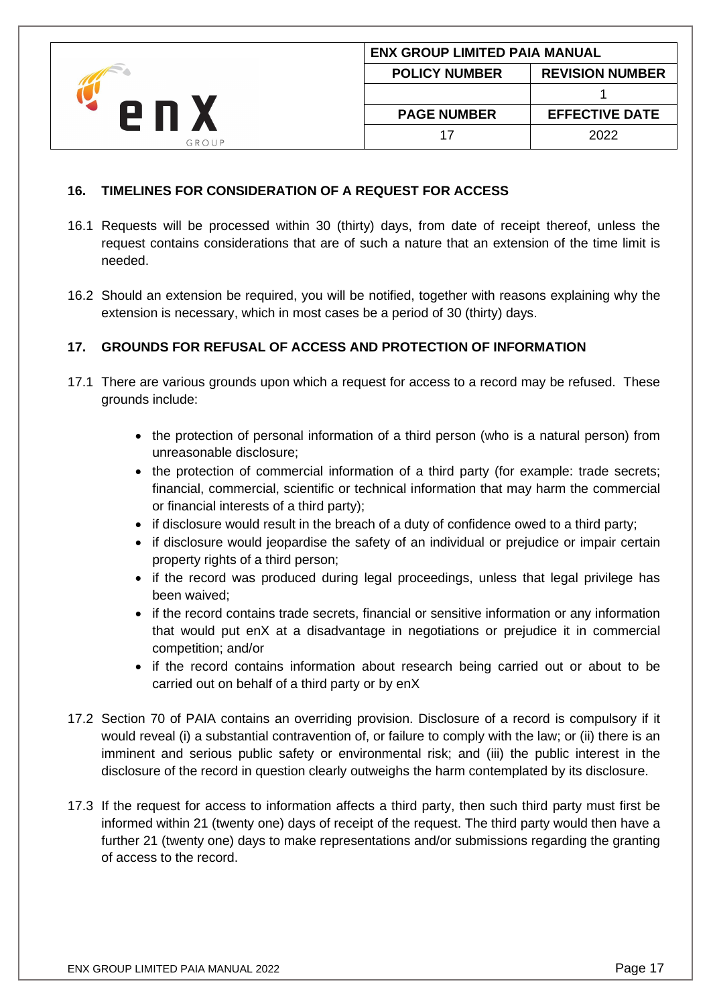|       |                      | <b>ENX GROUP LIMITED PAIA MANUAL</b> |  |
|-------|----------------------|--------------------------------------|--|
| 2 N   | <b>POLICY NUMBER</b> | <b>REVISION NUMBER</b>               |  |
|       |                      |                                      |  |
|       | <b>PAGE NUMBER</b>   | <b>EFFECTIVE DATE</b>                |  |
| GROUP |                      | 2022                                 |  |

## <span id="page-16-0"></span>**16. TIMELINES FOR CONSIDERATION OF A REQUEST FOR ACCESS**

- 16.1 Requests will be processed within 30 (thirty) days, from date of receipt thereof, unless the request contains considerations that are of such a nature that an extension of the time limit is needed.
- 16.2 Should an extension be required, you will be notified, together with reasons explaining why the extension is necessary, which in most cases be a period of 30 (thirty) days.

# <span id="page-16-1"></span>**17. GROUNDS FOR REFUSAL OF ACCESS AND PROTECTION OF INFORMATION**

- 17.1 There are various grounds upon which a request for access to a record may be refused. These grounds include:
	- the protection of personal information of a third person (who is a natural person) from unreasonable disclosure;
	- the protection of commercial information of a third party (for example: trade secrets; financial, commercial, scientific or technical information that may harm the commercial or financial interests of a third party);
	- if disclosure would result in the breach of a duty of confidence owed to a third party;
	- if disclosure would jeopardise the safety of an individual or prejudice or impair certain property rights of a third person;
	- if the record was produced during legal proceedings, unless that legal privilege has been waived;
	- if the record contains trade secrets, financial or sensitive information or any information that would put enX at a disadvantage in negotiations or prejudice it in commercial competition; and/or
	- if the record contains information about research being carried out or about to be carried out on behalf of a third party or by enX
- 17.2 Section 70 of PAIA contains an overriding provision. Disclosure of a record is compulsory if it would reveal (i) a substantial contravention of, or failure to comply with the law; or (ii) there is an imminent and serious public safety or environmental risk; and (iii) the public interest in the disclosure of the record in question clearly outweighs the harm contemplated by its disclosure.
- 17.3 If the request for access to information affects a third party, then such third party must first be informed within 21 (twenty one) days of receipt of the request. The third party would then have a further 21 (twenty one) days to make representations and/or submissions regarding the granting of access to the record.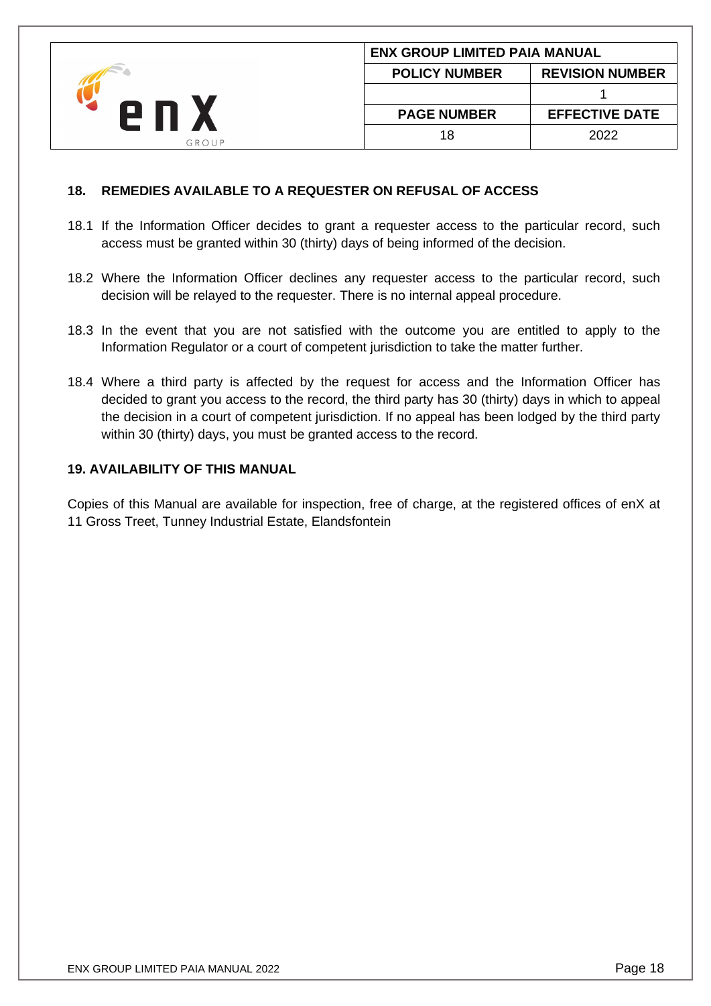|       |                      | <b>ENX GROUP LIMITED PAIA MANUAL</b> |  |
|-------|----------------------|--------------------------------------|--|
| GROUP | <b>POLICY NUMBER</b> | <b>REVISION NUMBER</b>               |  |
|       |                      |                                      |  |
|       | <b>PAGE NUMBER</b>   | <b>EFFECTIVE DATE</b>                |  |
|       | 18                   | 2022                                 |  |

### <span id="page-17-0"></span>**18. REMEDIES AVAILABLE TO A REQUESTER ON REFUSAL OF ACCESS**

- 18.1 If the Information Officer decides to grant a requester access to the particular record, such access must be granted within 30 (thirty) days of being informed of the decision.
- 18.2 Where the Information Officer declines any requester access to the particular record, such decision will be relayed to the requester. There is no internal appeal procedure.
- 18.3 In the event that you are not satisfied with the outcome you are entitled to apply to the Information Regulator or a court of competent jurisdiction to take the matter further.
- 18.4 Where a third party is affected by the request for access and the Information Officer has decided to grant you access to the record, the third party has 30 (thirty) days in which to appeal the decision in a court of competent jurisdiction. If no appeal has been lodged by the third party within 30 (thirty) days, you must be granted access to the record.

### **19. AVAILABILITY OF THIS MANUAL**

Copies of this Manual are available for inspection, free of charge, at the registered offices of enX at 11 Gross Treet, Tunney Industrial Estate, Elandsfontein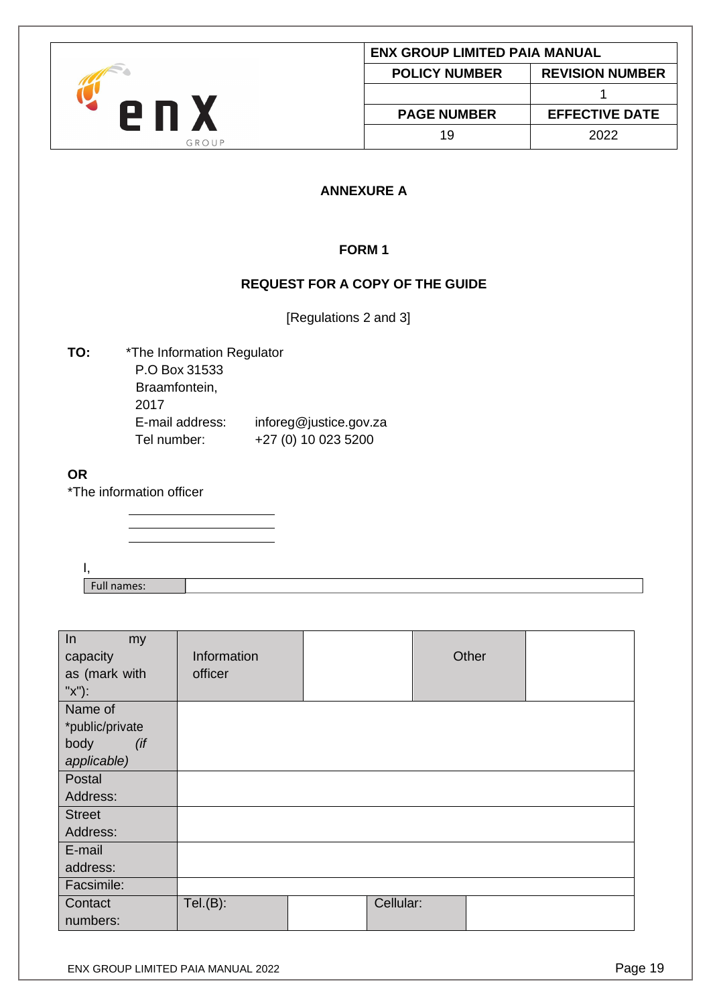<span id="page-18-2"></span><span id="page-18-1"></span><span id="page-18-0"></span>

|                                                                                   |                                                                                                                                                 | <b>ENX GROUP LIMITED PAIA MANUAL</b>   |                             |  |
|-----------------------------------------------------------------------------------|-------------------------------------------------------------------------------------------------------------------------------------------------|----------------------------------------|-----------------------------|--|
|                                                                                   |                                                                                                                                                 | <b>POLICY NUMBER</b>                   | <b>REVISION NUMBER</b><br>1 |  |
| enX                                                                               |                                                                                                                                                 |                                        |                             |  |
|                                                                                   |                                                                                                                                                 | <b>PAGE NUMBER</b>                     | <b>EFFECTIVE DATE</b>       |  |
|                                                                                   | GROUP                                                                                                                                           | 19                                     | 2022                        |  |
|                                                                                   |                                                                                                                                                 | <b>ANNEXURE A</b>                      |                             |  |
|                                                                                   |                                                                                                                                                 | FORM <sub>1</sub>                      |                             |  |
|                                                                                   |                                                                                                                                                 | <b>REQUEST FOR A COPY OF THE GUIDE</b> |                             |  |
|                                                                                   |                                                                                                                                                 | [Regulations 2 and 3]                  |                             |  |
| TO:<br>2017<br><b>OR</b><br>*The information officer<br>Ι,<br>Full names:         | *The Information Regulator<br>P.O Box 31533<br>Braamfontein,<br>E-mail address:<br>inforeg@justice.gov.za<br>+27 (0) 10 023 5200<br>Tel number: |                                        |                             |  |
|                                                                                   |                                                                                                                                                 |                                        |                             |  |
| In<br>my<br>capacity<br>as (mark with<br>"x"):                                    | Information<br>officer                                                                                                                          | Other                                  |                             |  |
| Name of<br>*public/private<br>body<br>$($ if<br>applicable)<br>Postal<br>Address: |                                                                                                                                                 |                                        |                             |  |
| <b>Street</b><br>Address:<br>E-mail                                               |                                                                                                                                                 |                                        |                             |  |
| address:<br>Facsimile:                                                            |                                                                                                                                                 |                                        |                             |  |

Tel.(B): Cellular:

**Contact** numbers: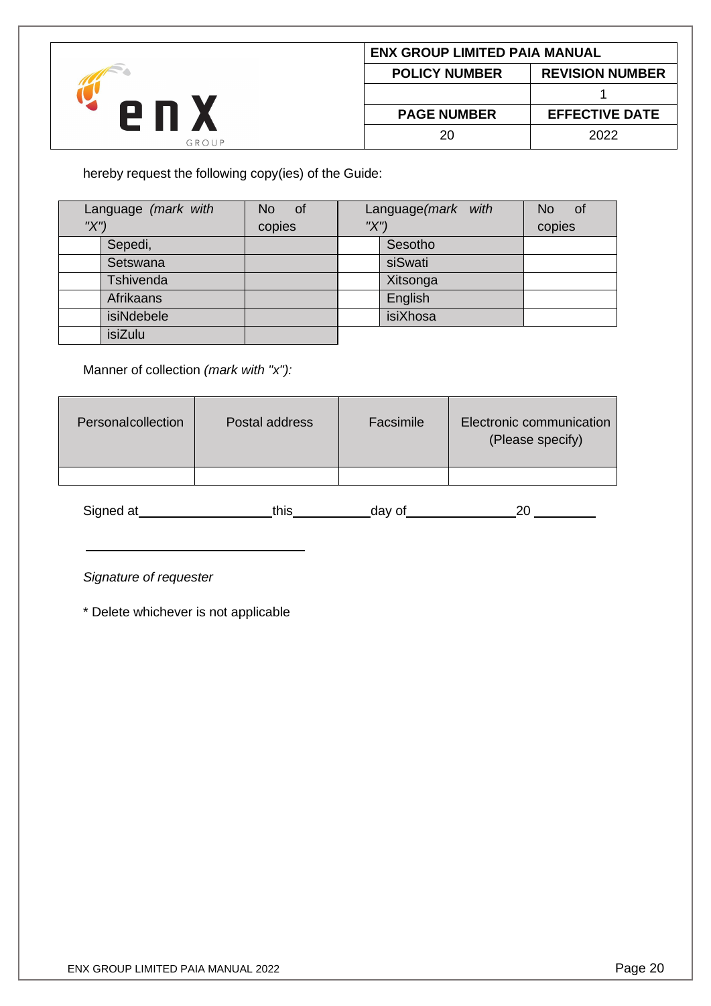|       |                      | <b>ENX GROUP LIMITED PAIA MANUAL</b> |  |
|-------|----------------------|--------------------------------------|--|
| GROUP | <b>POLICY NUMBER</b> | <b>REVISION NUMBER</b>               |  |
|       |                      |                                      |  |
|       | <b>PAGE NUMBER</b>   | <b>EFFECTIVE DATE</b>                |  |
|       | 20                   | 2022                                 |  |

hereby request the following copy(ies) of the Guide:

|     | Language (mark with | No of  | Language(mark with |          | No<br>0f |
|-----|---------------------|--------|--------------------|----------|----------|
| "X" |                     | copies | "X"                |          | copies   |
|     | Sepedi,             |        |                    | Sesotho  |          |
|     | Setswana            |        |                    | siSwati  |          |
|     | <b>Tshivenda</b>    |        |                    | Xitsonga |          |
|     | Afrikaans           |        |                    | English  |          |
|     | isiNdebele          |        |                    | isiXhosa |          |
|     | isiZulu             |        |                    |          |          |

Manner of collection *(mark with "x"):*

| Personalcollection | Postal address | Facsimile | Electronic communication<br>(Please specify) |
|--------------------|----------------|-----------|----------------------------------------------|
|                    |                |           |                                              |
|                    |                |           |                                              |

| -Signed at<br>αι | -- | 1 V<br>$\sim$ 10 <sup><math>-</math></sup> |  |
|------------------|----|--------------------------------------------|--|
|------------------|----|--------------------------------------------|--|

*Signature of requester*

\* Delete whichever is not applicable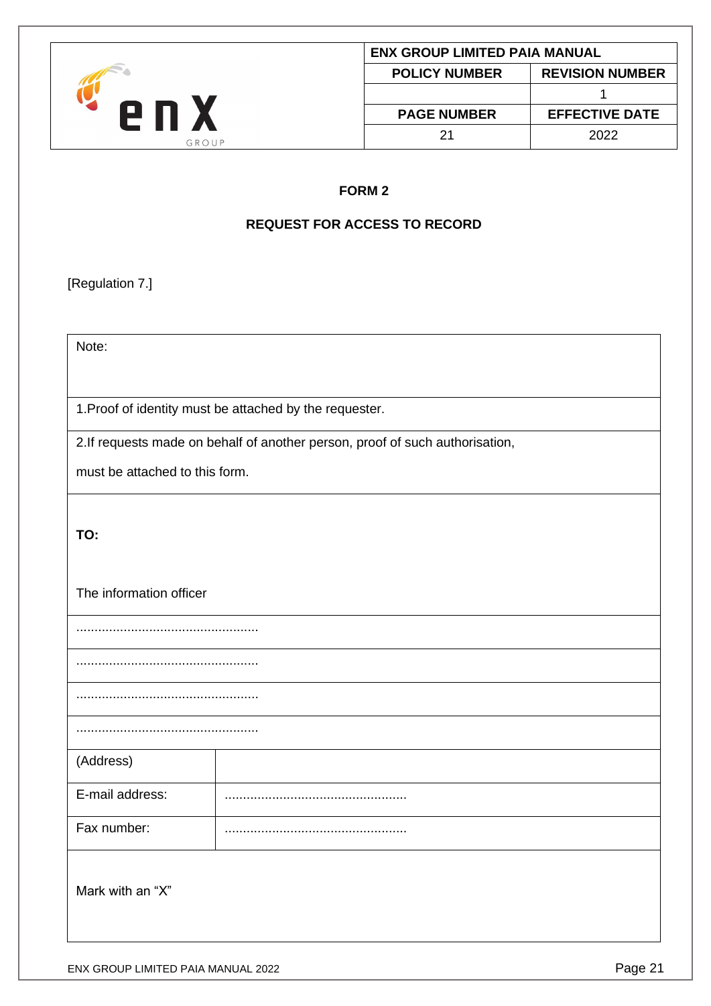<span id="page-20-1"></span><span id="page-20-0"></span>

|                                |                                                                              | <b>ENX GROUP LIMITED PAIA MANUAL</b>                     |                        |
|--------------------------------|------------------------------------------------------------------------------|----------------------------------------------------------|------------------------|
|                                |                                                                              | <b>POLICY NUMBER</b>                                     | <b>REVISION NUMBER</b> |
| enx                            |                                                                              |                                                          | $\mathbf{1}$           |
|                                |                                                                              | <b>PAGE NUMBER</b>                                       | <b>EFFECTIVE DATE</b>  |
|                                | GROUP                                                                        | 21                                                       | 2022                   |
|                                |                                                                              |                                                          |                        |
|                                |                                                                              | FORM <sub>2</sub><br><b>REQUEST FOR ACCESS TO RECORD</b> |                        |
|                                |                                                                              |                                                          |                        |
|                                |                                                                              |                                                          |                        |
| [Regulation 7.]                |                                                                              |                                                          |                        |
|                                |                                                                              |                                                          |                        |
| Note:                          |                                                                              |                                                          |                        |
|                                |                                                                              |                                                          |                        |
|                                | 1. Proof of identity must be attached by the requester.                      |                                                          |                        |
|                                |                                                                              |                                                          |                        |
|                                | 2.If requests made on behalf of another person, proof of such authorisation, |                                                          |                        |
| must be attached to this form. |                                                                              |                                                          |                        |
|                                |                                                                              |                                                          |                        |
| TO:                            |                                                                              |                                                          |                        |
|                                |                                                                              |                                                          |                        |
|                                |                                                                              |                                                          |                        |
| The information officer        |                                                                              |                                                          |                        |
|                                |                                                                              |                                                          |                        |
|                                |                                                                              |                                                          |                        |
|                                |                                                                              |                                                          |                        |
|                                |                                                                              |                                                          |                        |
|                                |                                                                              |                                                          |                        |
|                                |                                                                              |                                                          |                        |
| (Address)                      |                                                                              |                                                          |                        |
| E-mail address:                |                                                                              |                                                          |                        |
| Fax number:                    |                                                                              |                                                          |                        |
|                                |                                                                              |                                                          |                        |
|                                |                                                                              |                                                          |                        |
| Mark with an "X"               |                                                                              |                                                          |                        |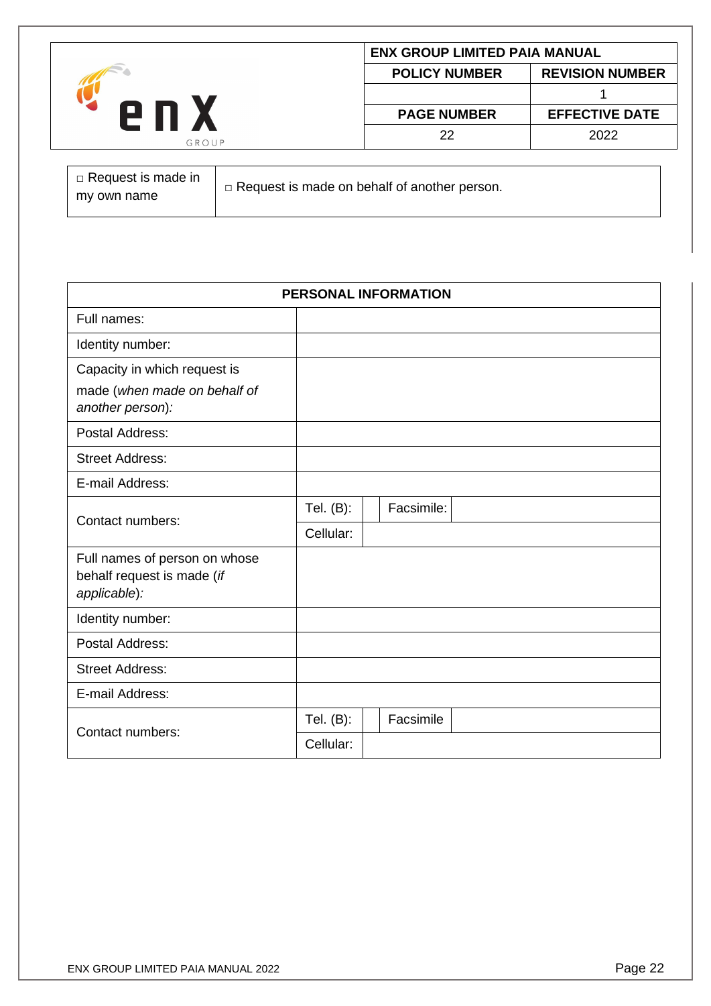| 2 П   | <b>ENX GROUP LIMITED PAIA MANUAL</b> |                        |  |
|-------|--------------------------------------|------------------------|--|
|       | <b>POLICY NUMBER</b>                 | <b>REVISION NUMBER</b> |  |
|       |                                      |                        |  |
|       | <b>PAGE NUMBER</b>                   | <b>EFFECTIVE DATE</b>  |  |
| GROUP | 22                                   | 2022                   |  |

| $\Box$ Request is made in | $\Box$ Request is made on behalf of another person. |
|---------------------------|-----------------------------------------------------|
| my own name               |                                                     |

| PERSONAL INFORMATION                                                             |              |  |            |  |  |
|----------------------------------------------------------------------------------|--------------|--|------------|--|--|
| Full names:                                                                      |              |  |            |  |  |
| Identity number:                                                                 |              |  |            |  |  |
| Capacity in which request is<br>made (when made on behalf of<br>another person): |              |  |            |  |  |
| Postal Address:                                                                  |              |  |            |  |  |
| <b>Street Address:</b>                                                           |              |  |            |  |  |
| E-mail Address:                                                                  |              |  |            |  |  |
| Contact numbers:                                                                 | Tel. (B):    |  | Facsimile: |  |  |
|                                                                                  | Cellular:    |  |            |  |  |
| Full names of person on whose<br>behalf request is made (if<br>applicable):      |              |  |            |  |  |
| Identity number:                                                                 |              |  |            |  |  |
| Postal Address:                                                                  |              |  |            |  |  |
| <b>Street Address:</b>                                                           |              |  |            |  |  |
| E-mail Address:                                                                  |              |  |            |  |  |
| Contact numbers:                                                                 | Tel. $(B)$ : |  | Facsimile  |  |  |
|                                                                                  | Cellular:    |  |            |  |  |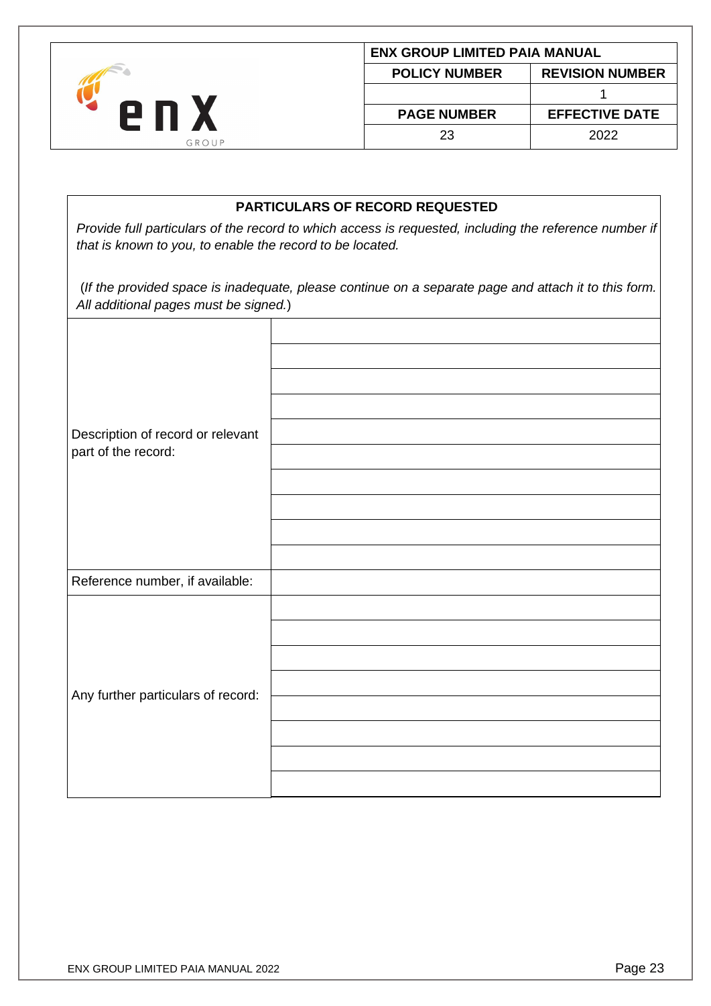| 2 N   |                      | <b>ENX GROUP LIMITED PAIA MANUAL</b> |  |  |
|-------|----------------------|--------------------------------------|--|--|
|       | <b>POLICY NUMBER</b> | <b>REVISION NUMBER</b>               |  |  |
|       |                      |                                      |  |  |
|       | <b>PAGE NUMBER</b>   | <b>EFFECTIVE DATE</b>                |  |  |
| GROUP | 23                   | 2022                                 |  |  |

# **PARTICULARS OF RECORD REQUESTED**

*Provide full particulars of the record to which access is requested, including the reference number if that is known to you, to enable the record to be located.*

(*If the provided space is inadequate, please continue on a separate page and attach it to this form. All additional pages must be signed.*)

| Description of record or relevant<br>part of the record: |  |
|----------------------------------------------------------|--|
| Reference number, if available:                          |  |
| Any further particulars of record:                       |  |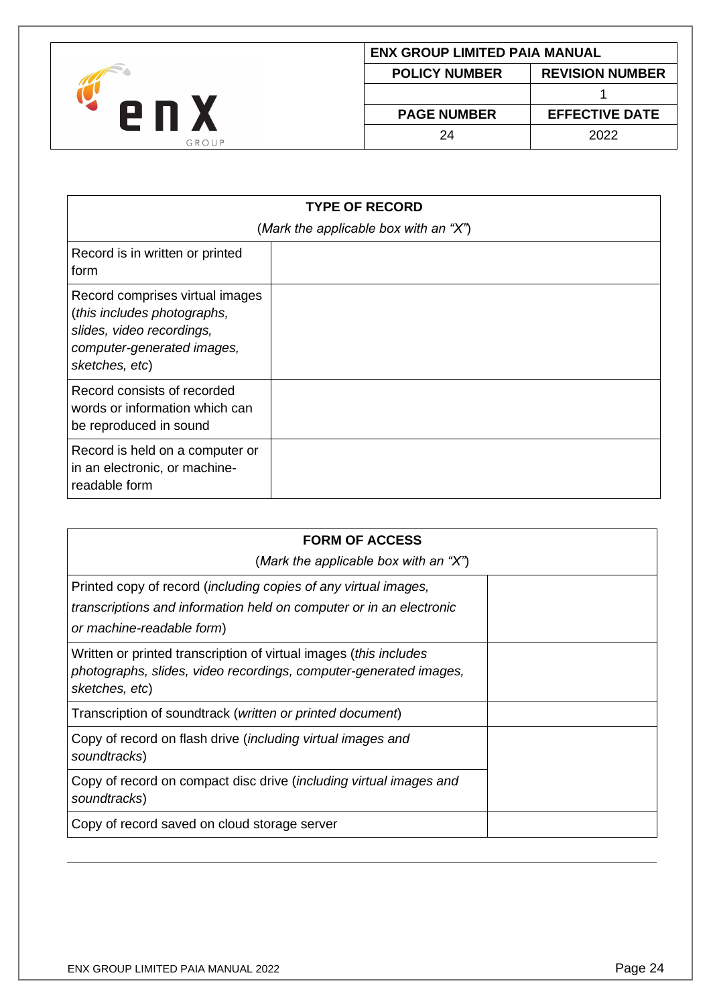

| <b>ENX GROUP LIMITED PAIA MANUAL</b>           |                       |  |
|------------------------------------------------|-----------------------|--|
| <b>REVISION NUMBER</b><br><b>POLICY NUMBER</b> |                       |  |
|                                                |                       |  |
| <b>PAGE NUMBER</b>                             | <b>EFFECTIVE DATE</b> |  |
| 24                                             | 2022                  |  |

| <b>TYPE OF RECORD</b><br>(Mark the applicable box with an "X")                                                                              |  |  |
|---------------------------------------------------------------------------------------------------------------------------------------------|--|--|
| Record is in written or printed<br>form                                                                                                     |  |  |
| Record comprises virtual images<br>(this includes photographs,<br>slides, video recordings,<br>computer-generated images,<br>sketches, etc) |  |  |
| Record consists of recorded<br>words or information which can<br>be reproduced in sound                                                     |  |  |
| Record is held on a computer or<br>in an electronic, or machine-<br>readable form                                                           |  |  |

| <b>FORM OF ACCESS</b>                                                                                                                                               |  |
|---------------------------------------------------------------------------------------------------------------------------------------------------------------------|--|
| (Mark the applicable box with an "X")                                                                                                                               |  |
| Printed copy of record (including copies of any virtual images,<br>transcriptions and information held on computer or in an electronic<br>or machine-readable form) |  |
| Written or printed transcription of virtual images ( <i>this includes</i><br>photographs, slides, video recordings, computer-generated images,<br>sketches, etc)    |  |
| Transcription of soundtrack (written or printed document)                                                                                                           |  |
| Copy of record on flash drive ( <i>including virtual images and</i><br>soundtracks)                                                                                 |  |
| Copy of record on compact disc drive (including virtual images and<br>soundtracks)                                                                                  |  |
| Copy of record saved on cloud storage server                                                                                                                        |  |
|                                                                                                                                                                     |  |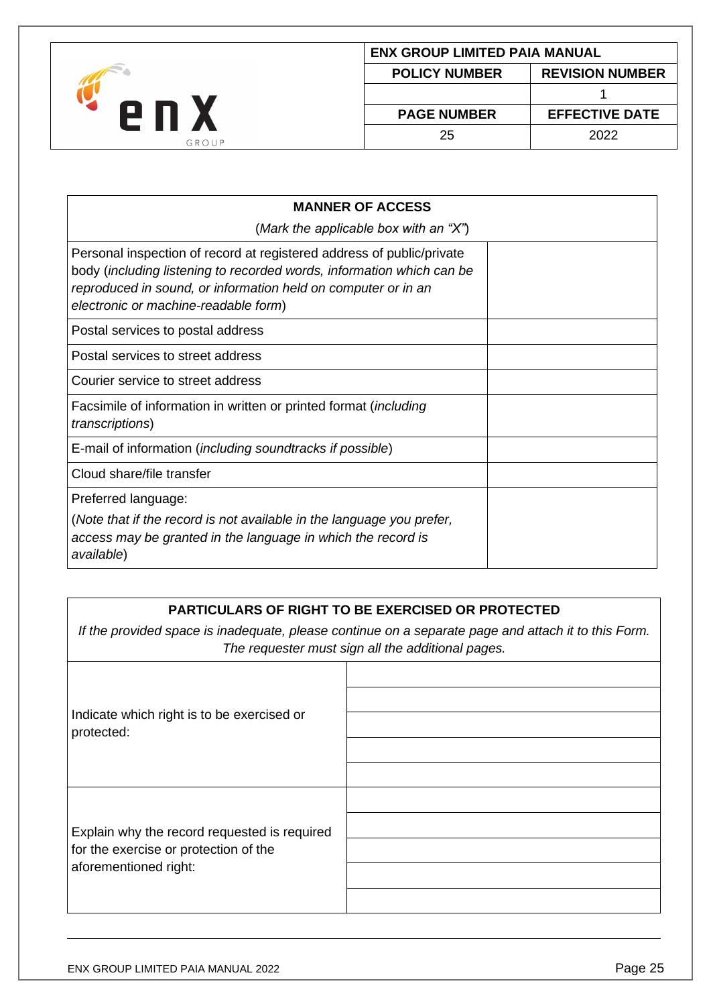

| ENX GROUP LIMITED PAIA MANUAL                  |                       |  |  |
|------------------------------------------------|-----------------------|--|--|
| <b>REVISION NUMBER</b><br><b>POLICY NUMBER</b> |                       |  |  |
|                                                |                       |  |  |
| <b>PAGE NUMBER</b>                             | <b>EFFECTIVE DATE</b> |  |  |
| 25                                             | 2022                  |  |  |

| <b>MANNER OF ACCESS</b>                                                                                                                                                                                                                                 |  |
|---------------------------------------------------------------------------------------------------------------------------------------------------------------------------------------------------------------------------------------------------------|--|
| (Mark the applicable box with an "X")                                                                                                                                                                                                                   |  |
| Personal inspection of record at registered address of public/private<br>body (including listening to recorded words, information which can be<br>reproduced in sound, or information held on computer or in an<br>electronic or machine-readable form) |  |
| Postal services to postal address                                                                                                                                                                                                                       |  |
| Postal services to street address                                                                                                                                                                                                                       |  |
| Courier service to street address                                                                                                                                                                                                                       |  |
| Facsimile of information in written or printed format (including<br><i>transcriptions</i> )                                                                                                                                                             |  |
| E-mail of information ( <i>including soundtracks if possible</i> )                                                                                                                                                                                      |  |
| Cloud share/file transfer                                                                                                                                                                                                                               |  |
| Preferred language:                                                                                                                                                                                                                                     |  |
| (Note that if the record is not available in the language you prefer,<br>access may be granted in the language in which the record is<br>available)                                                                                                     |  |

# **PARTICULARS OF RIGHT TO BE EXERCISED OR PROTECTED**

*If the provided space is inadequate, please continue on a separate page and attach it to this Form. The requester must sign all the additional pages.*

| Indicate which right is to be exercised or<br>protected:                                                       |  |
|----------------------------------------------------------------------------------------------------------------|--|
| Explain why the record requested is required<br>for the exercise or protection of the<br>aforementioned right: |  |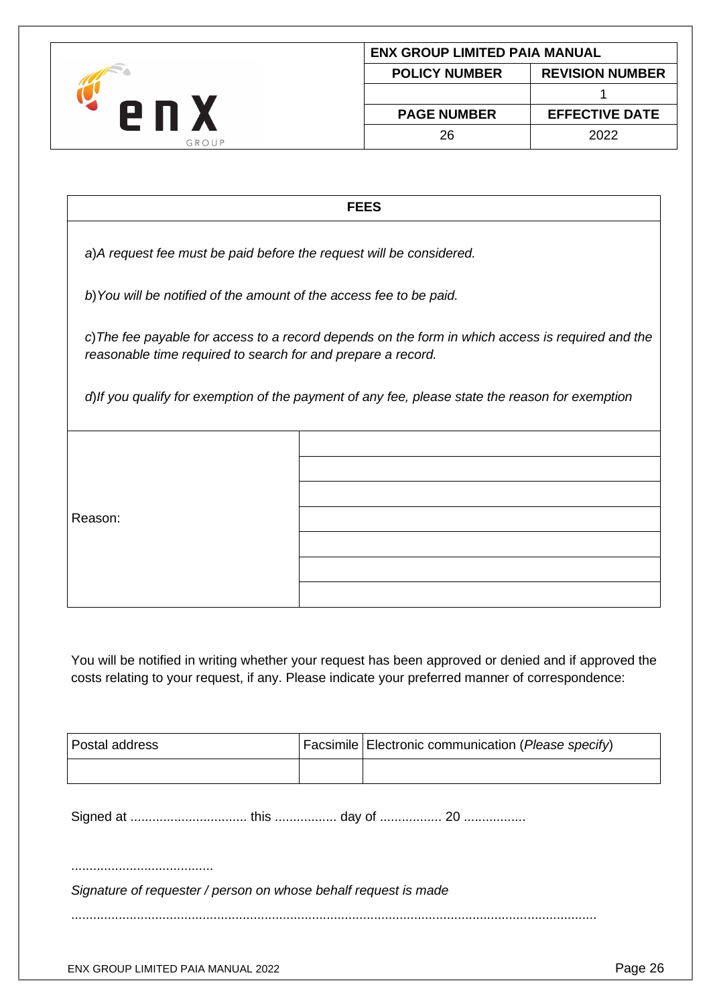

| <b>ENX GROUP LIMITED PAIA MANUAL</b>           |                       |  |  |
|------------------------------------------------|-----------------------|--|--|
| <b>REVISION NUMBER</b><br><b>POLICY NUMBER</b> |                       |  |  |
|                                                |                       |  |  |
| <b>PAGE NUMBER</b>                             | <b>EFFECTIVE DATE</b> |  |  |
| 26                                             | 2022                  |  |  |
|                                                |                       |  |  |

#### **FEES**

*a*)*A request fee must be paid before the request will be considered.*

*b*)*You will be notified of the amount of the access fee to be paid.*

*c*)*The fee payable for access to a record depends on the form in which access is required and the reasonable time required to search for and prepare a record.*

*d*)*If you qualify for exemption of the payment of any fee, please state the reason for exemption*

Reason:

You will be notified in writing whether your request has been approved or denied and if approved the costs relating to your request, if any. Please indicate your preferred manner of correspondence:

| Postal address                                                  |  | Facsimile   Electronic communication (Please specify) |  |  |
|-----------------------------------------------------------------|--|-------------------------------------------------------|--|--|
|                                                                 |  |                                                       |  |  |
|                                                                 |  |                                                       |  |  |
|                                                                 |  |                                                       |  |  |
| Signature of requester / person on whose behalf request is made |  |                                                       |  |  |
|                                                                 |  |                                                       |  |  |
|                                                                 |  |                                                       |  |  |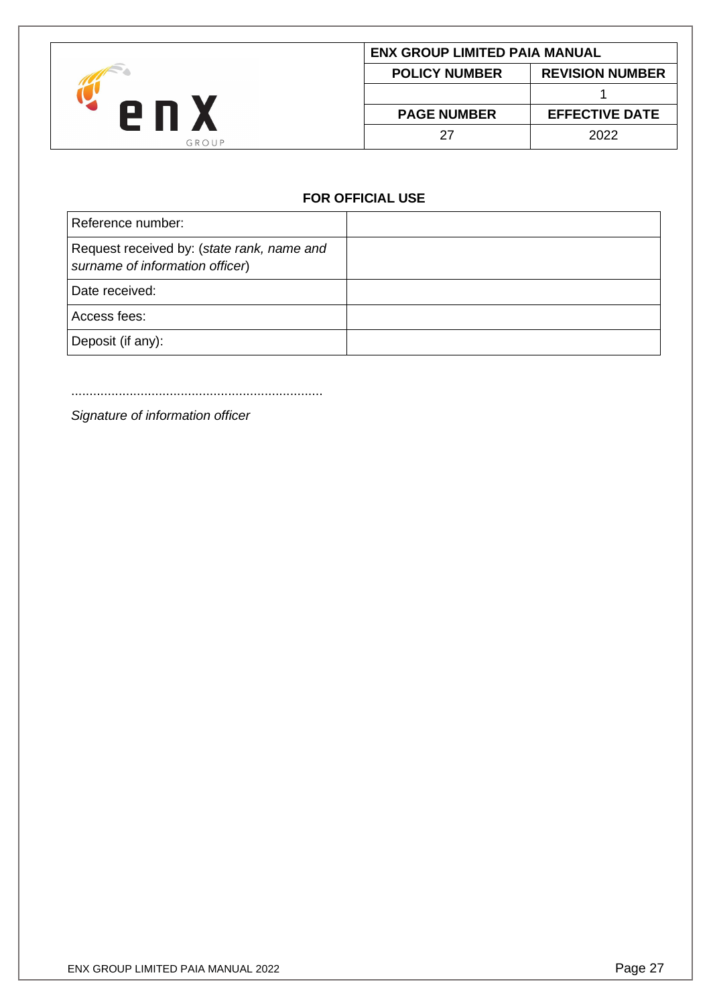

| ENX GROUP LIMITED PAIA MANUAL                  |                       |  |  |
|------------------------------------------------|-----------------------|--|--|
| <b>REVISION NUMBER</b><br><b>POLICY NUMBER</b> |                       |  |  |
|                                                |                       |  |  |
| <b>PAGE NUMBER</b>                             | <b>EFFECTIVE DATE</b> |  |  |
| 27                                             | 2022                  |  |  |

# **FOR OFFICIAL USE**

| Reference number:                                                             |  |
|-------------------------------------------------------------------------------|--|
| Request received by: (state rank, name and<br>surname of information officer) |  |
| Date received:                                                                |  |
| Access fees:                                                                  |  |
| Deposit (if any):                                                             |  |

.....................................................................

*Signature of information officer*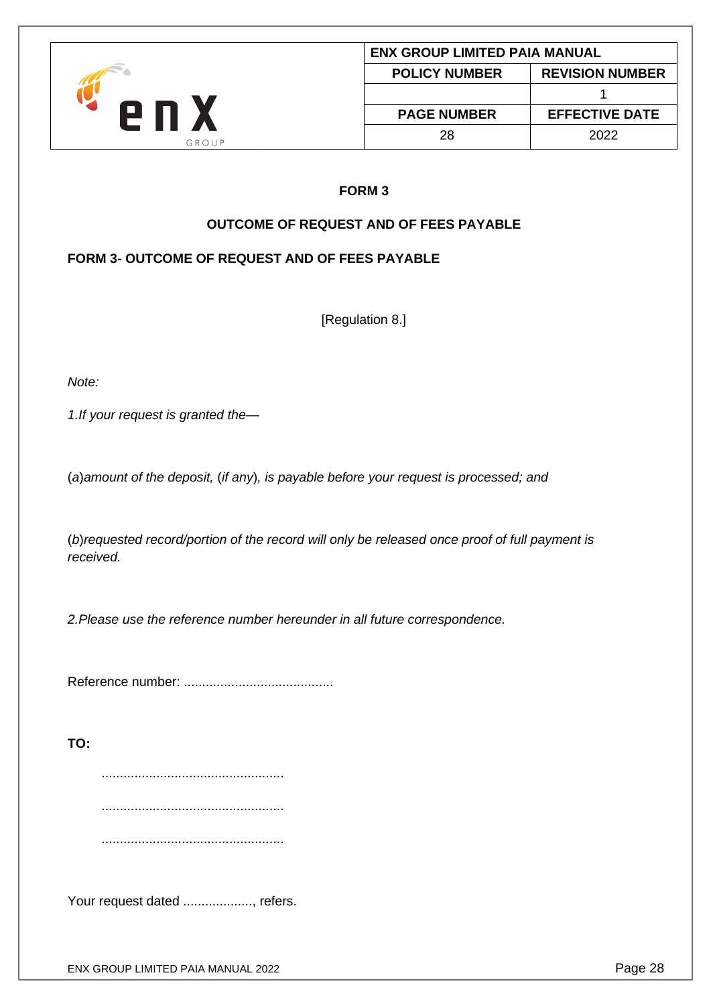

#### **FORM 3**

# **OUTCOME OF REQUEST AND OF FEES PAYABLE**

# <span id="page-27-1"></span><span id="page-27-0"></span>**FORM 3- OUTCOME OF REQUEST AND OF FEES PAYABLE**

[Regulation 8.]

*Note:*

*1.If your request is granted the—*

(*a*)*amount of the deposit,* (*if any*)*, is payable before your request is processed; and*

(*b*)*requested record/portion of the record will only be released once proof of full payment is received.*

*2.Please use the reference number hereunder in all future correspondence.*

Reference number: .........................................

**TO:**

..................................................

..................................................

..................................................

Your request dated ..................., refers.

ENX GROUP LIMITED PAIA MANUAL 2022 **Page 28**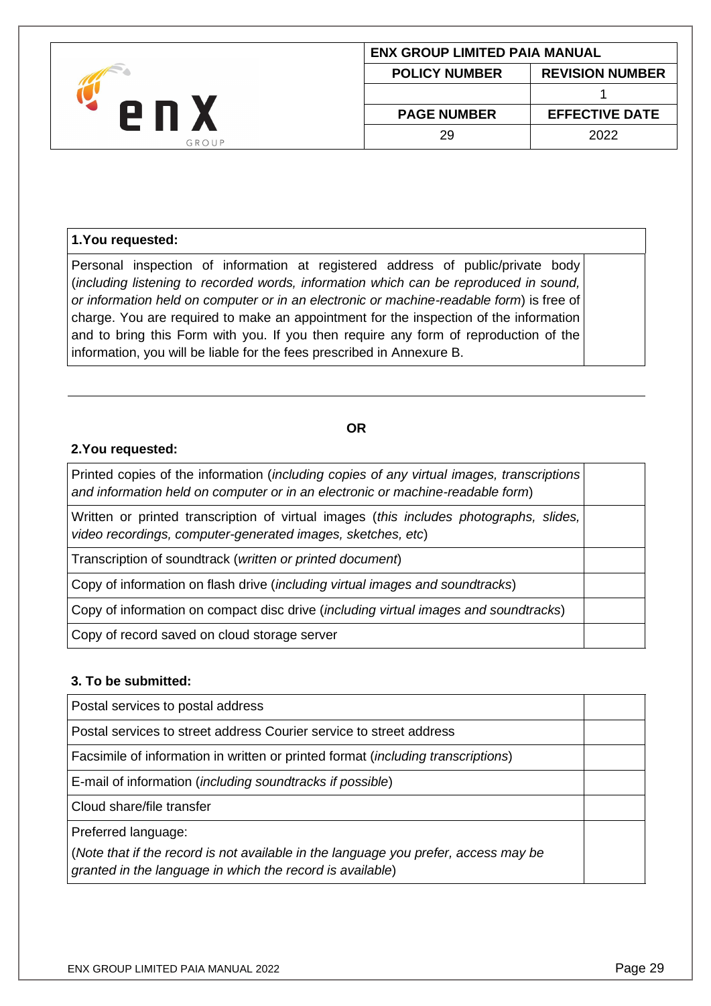

## **1.You requested:**

Personal inspection of information at registered address of public/private body (*including listening to recorded words, information which can be reproduced in sound, or information held on computer or in an electronic or machine-readable form*) is free of charge. You are required to make an appointment for the inspection of the information and to bring this Form with you. If you then require any form of reproduction of the information, you will be liable for the fees prescribed in Annexure B.

#### **OR**

#### **2.You requested:**

Printed copies of the information (*including copies of any virtual images, transcriptions and information held on computer or in an electronic or machine-readable form*)

Written or printed transcription of virtual images (*this includes photographs, slides, video recordings, computer-generated images, sketches, etc*)

Transcription of soundtrack (*written or printed document*)

Copy of information on flash drive (*including virtual images and soundtracks*)

Copy of information on compact disc drive (*including virtual images and soundtracks*)

Copy of record saved on cloud storage server

#### **3. To be submitted:**

Postal services to postal address Postal services to street address Courier service to street address Facsimile of information in written or printed format (*including transcriptions*) E-mail of information (*including soundtracks if possible*) Cloud share/file transfer Preferred language: (*Note that if the record is not available in the language you prefer, access may be granted in the language in which the record is available*)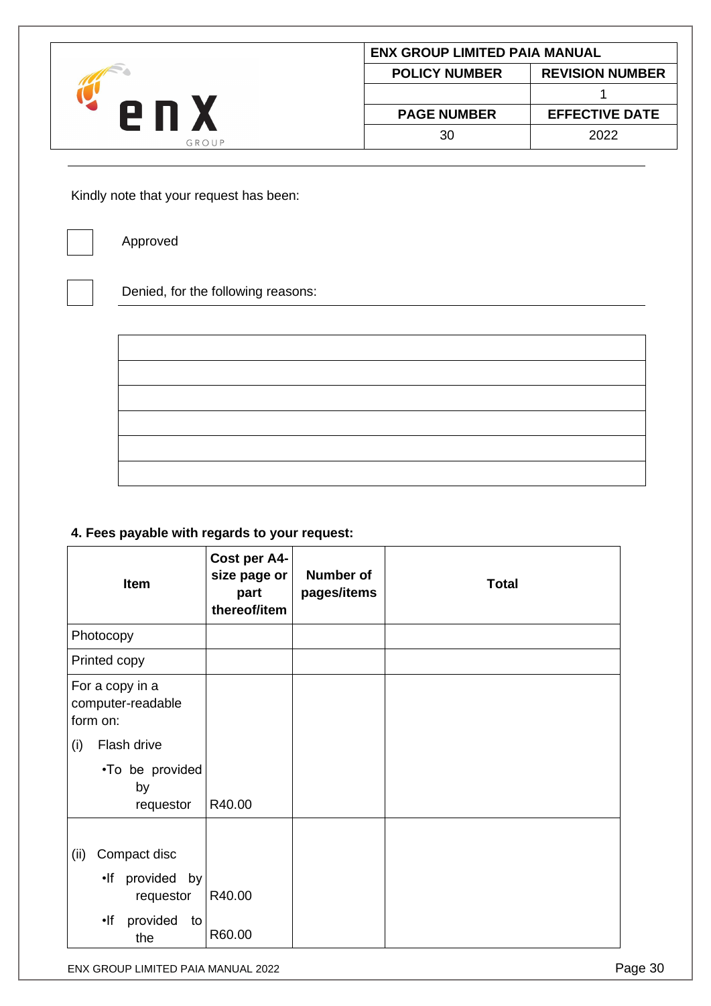|       | <b>ENX GROUP LIMITED PAIA MANUAL</b> |                        |
|-------|--------------------------------------|------------------------|
| 6 U   | <b>POLICY NUMBER</b>                 | <b>REVISION NUMBER</b> |
|       |                                      |                        |
|       | <b>PAGE NUMBER</b>                   | <b>EFFECTIVE DATE</b>  |
| GROUP | 30                                   | 2022                   |

Kindly note that your request has been:



Approved

Denied, for the following reasons:

# **4. Fees payable with regards to your request:**

| Item                                             | Cost per A4-<br>size page or<br>part<br>thereof/item | <b>Number of</b><br>pages/items | <b>Total</b> |
|--------------------------------------------------|------------------------------------------------------|---------------------------------|--------------|
| Photocopy                                        |                                                      |                                 |              |
| Printed copy                                     |                                                      |                                 |              |
| For a copy in a<br>computer-readable<br>form on: |                                                      |                                 |              |
| Flash drive<br>(i)                               |                                                      |                                 |              |
| •To be provided<br>by<br>requestor               | R40.00                                               |                                 |              |
| Compact disc<br>(ii)                             |                                                      |                                 |              |
| .If provided by<br>requestor                     | R40.00                                               |                                 |              |
| •lf<br>provided<br>to<br>the                     | R60.00                                               |                                 |              |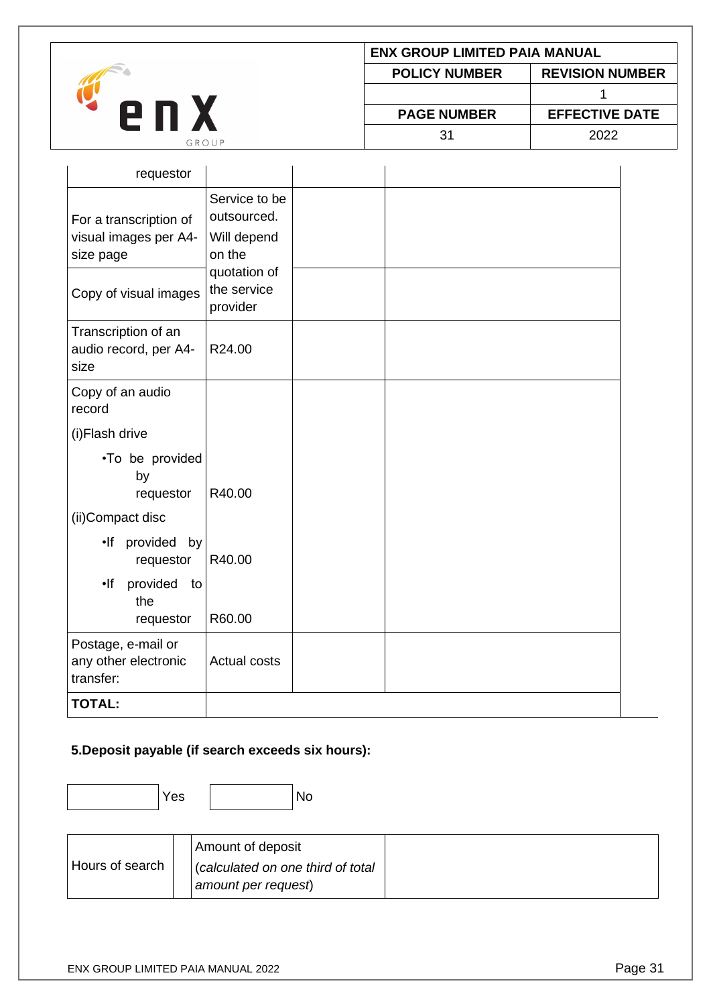| 2 N<br>GROUP | <b>ENX GROUP LIMITED PAIA MANUAL</b> |                        |  |
|--------------|--------------------------------------|------------------------|--|
|              | <b>POLICY NUMBER</b>                 | <b>REVISION NUMBER</b> |  |
|              |                                      |                        |  |
|              | <b>PAGE NUMBER</b>                   | <b>EFFECTIVE DATE</b>  |  |
|              | 31                                   | 2022                   |  |

| requestor                                                    |                                                       |  |
|--------------------------------------------------------------|-------------------------------------------------------|--|
| For a transcription of<br>visual images per A4-<br>size page | Service to be<br>outsourced.<br>Will depend<br>on the |  |
| Copy of visual images                                        | quotation of<br>the service<br>provider               |  |
| Transcription of an<br>audio record, per A4-<br>size         | R24.00                                                |  |
| Copy of an audio<br>record                                   |                                                       |  |
| (i)Flash drive                                               |                                                       |  |
| •To be provided<br>by<br>requestor                           | R40.00                                                |  |
| (ii)Compact disc                                             |                                                       |  |
| .If provided by<br>requestor                                 | R40.00                                                |  |
| provided<br>•lf<br>to<br>the<br>requestor                    | R60.00                                                |  |
| Postage, e-mail or<br>any other electronic<br>transfer:      | <b>Actual costs</b>                                   |  |
| <b>TOTAL:</b>                                                |                                                       |  |

# **5.Deposit payable (if search exceeds six hours):**

Yes No

|                 | Amount of deposit                 |  |
|-----------------|-----------------------------------|--|
| Hours of search | (calculated on one third of total |  |
|                 | amount per request)               |  |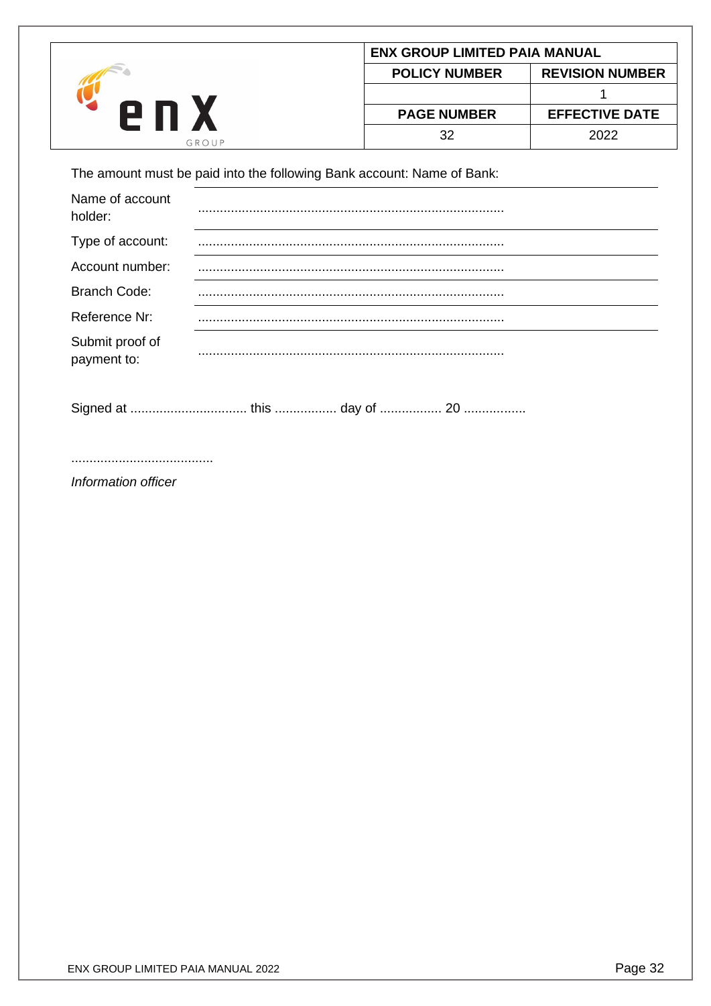|       | <b>ENX GROUP LIMITED PAIA MANUAL</b> |                        |  |
|-------|--------------------------------------|------------------------|--|
|       | <b>POLICY NUMBER</b>                 | <b>REVISION NUMBER</b> |  |
| 2 N   |                                      |                        |  |
|       | <b>PAGE NUMBER</b>                   | <b>EFFECTIVE DATE</b>  |  |
| GROUP | 32                                   | 2022                   |  |

The amount must be paid into the following Bank account: Name of Bank:

| Name of account<br>holder:     |  |
|--------------------------------|--|
| Type of account:               |  |
| Account number:                |  |
| <b>Branch Code:</b>            |  |
| Reference Nr:                  |  |
| Submit proof of<br>payment to: |  |
|                                |  |

Signed at ................................ this ................. day of ................. 20 .................

.......................................

*Information officer*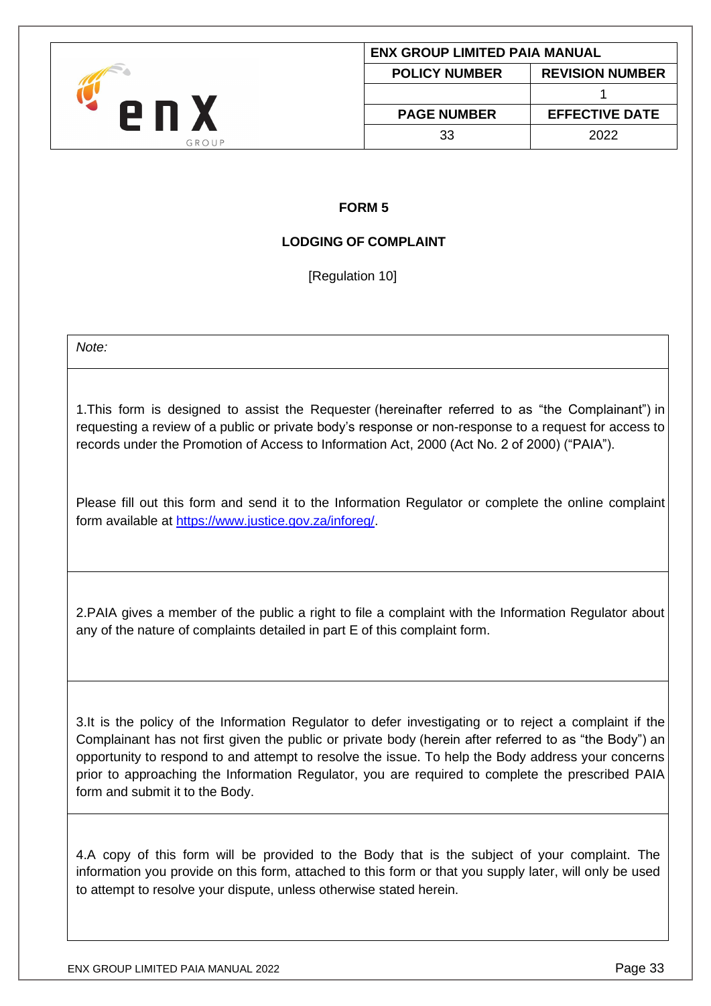<span id="page-32-0"></span>

# **FORM 5**

# **LODGING OF COMPLAINT**

[Regulation 10]

<span id="page-32-1"></span>*Note:*

1.This form is designed to assist the Requester (hereinafter referred to as "the Complainant") in requesting a review of a public or private body's response or non-response to a request for access to records under the Promotion of Access to Information Act, 2000 (Act No. 2 of 2000) ("PAIA").

Please fill out this form and send it to the Information Regulator or complete the online complaint form available at [https://www.justice.gov.za/inforeg/.](https://www.justice.gov.za/inforeg/)

2.PAIA gives a member of the public a right to file a complaint with the Information Regulator about any of the nature of complaints detailed in part E of this complaint form.

3.It is the policy of the Information Regulator to defer investigating or to reject a complaint if the Complainant has not first given the public or private body (herein after referred to as "the Body") an opportunity to respond to and attempt to resolve the issue. To help the Body address your concerns prior to approaching the Information Regulator, you are required to complete the prescribed PAIA form and submit it to the Body.

4.A copy of this form will be provided to the Body that is the subject of your complaint. The information you provide on this form, attached to this form or that you supply later, will only be used to attempt to resolve your dispute, unless otherwise stated herein.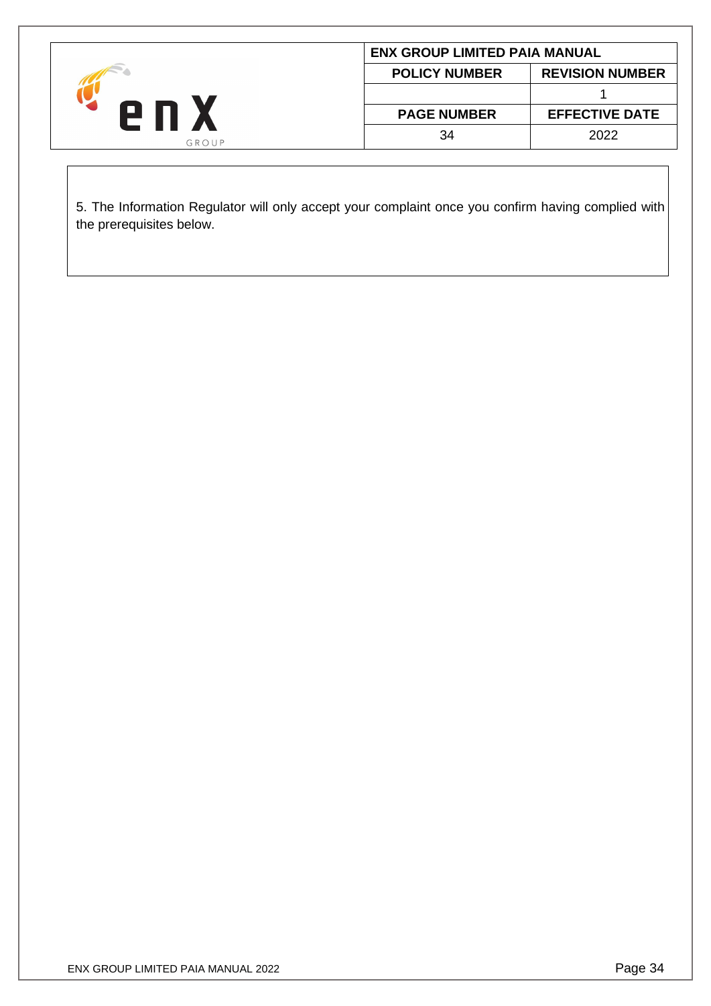|       |                      | <b>ENX GROUP LIMITED PAIA MANUAL</b> |  |  |  |
|-------|----------------------|--------------------------------------|--|--|--|
| GROUP | <b>POLICY NUMBER</b> | <b>REVISION NUMBER</b>               |  |  |  |
|       |                      |                                      |  |  |  |
|       | <b>PAGE NUMBER</b>   | <b>EFFECTIVE DATE</b>                |  |  |  |
|       | 34                   | 2022                                 |  |  |  |

5. The Information Regulator will only accept your complaint once you confirm having complied with the prerequisites below.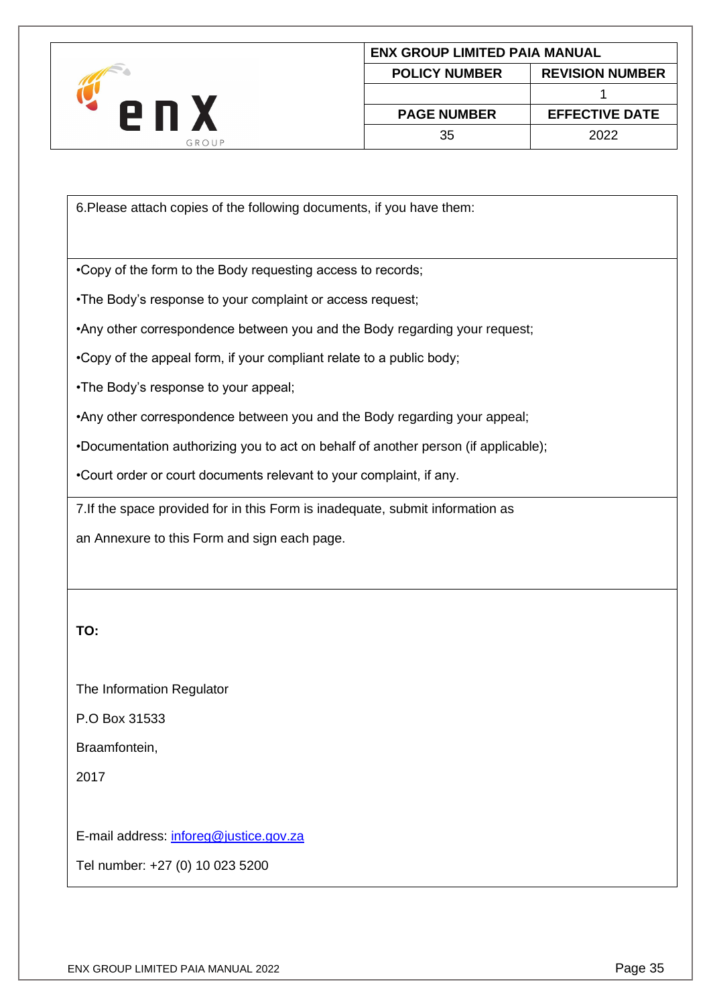

6.Please attach copies of the following documents, if you have them:

•Copy of the form to the Body requesting access to records;

•The Body's response to your complaint or access request;

•Any other correspondence between you and the Body regarding your request;

•Copy of the appeal form, if your compliant relate to a public body;

•The Body's response to your appeal;

•Any other correspondence between you and the Body regarding your appeal;

•Documentation authorizing you to act on behalf of another person (if applicable);

•Court order or court documents relevant to your complaint, if any.

7.If the space provided for in this Form is inadequate, submit information as

an Annexure to this Form and sign each page.

**TO:**

The Information Regulator

P.O Box 31533

Braamfontein,

2017

E-mail address: [inforeg@justice.gov.za](mailto:inforeg@justice.gov.za)

Tel number: +27 (0) 10 023 5200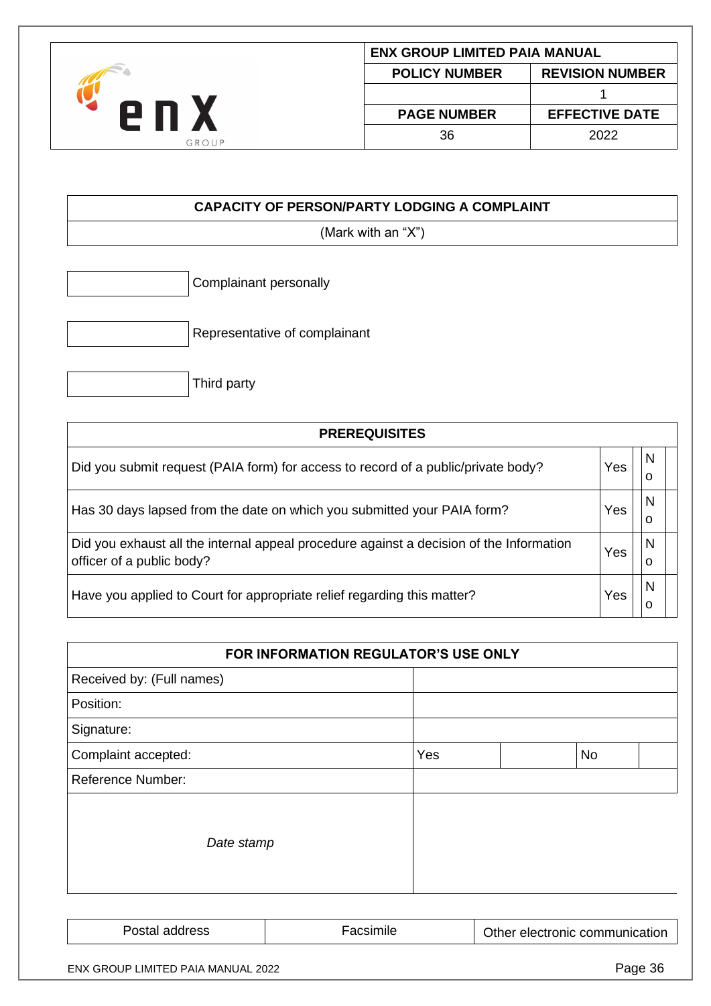| 9 N S<br>GROUP | <b>ENX GROUP LIMITED PAIA MANUAL</b> |                        |
|----------------|--------------------------------------|------------------------|
|                | <b>POLICY NUMBER</b>                 | <b>REVISION NUMBER</b> |
|                |                                      |                        |
|                | <b>PAGE NUMBER</b>                   | <b>EFFECTIVE DATE</b>  |
|                | 36                                   | 2022                   |

# **CAPACITY OF PERSON/PARTY LODGING A COMPLAINT**

(Mark with an "X")

Complainant personally

Representative of complainant

|  | Third party |  |
|--|-------------|--|
|--|-------------|--|

| <b>PREREQUISITES</b>                                                                                                 |     |        |
|----------------------------------------------------------------------------------------------------------------------|-----|--------|
| Did you submit request (PAIA form) for access to record of a public/private body?                                    | Yes | N<br>O |
| Has 30 days lapsed from the date on which you submitted your PAIA form?                                              | Yes | N<br>o |
| Did you exhaust all the internal appeal procedure against a decision of the Information<br>officer of a public body? | Yes | N<br>o |
| Have you applied to Court for appropriate relief regarding this matter?                                              | Yes | N<br>0 |

|                                           | FOR INFORMATION REGULATOR'S USE ONLY |     |                                |         |
|-------------------------------------------|--------------------------------------|-----|--------------------------------|---------|
| Received by: (Full names)                 |                                      |     |                                |         |
| Position:                                 |                                      |     |                                |         |
| Signature:                                |                                      |     |                                |         |
| Complaint accepted:                       |                                      | Yes | No                             |         |
| <b>Reference Number:</b>                  |                                      |     |                                |         |
| Date stamp                                |                                      |     |                                |         |
| Postal address                            | Facsimile                            |     | Other electronic communication |         |
| <b>ENX GROUP LIMITED PAIA MANUAL 2022</b> |                                      |     |                                | Page 36 |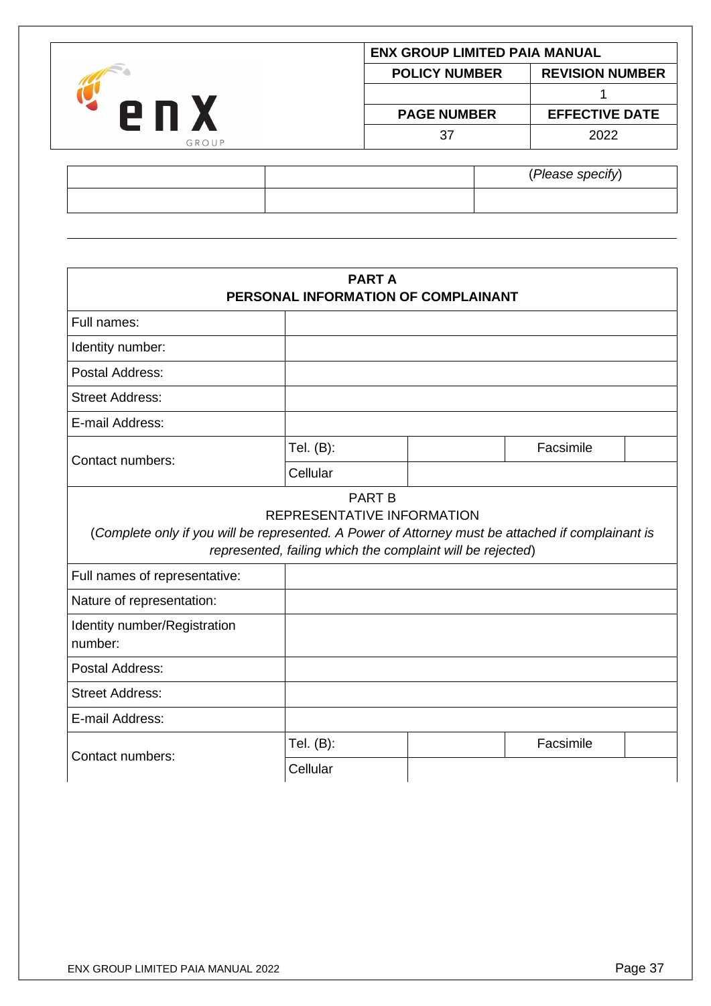| e n<br>GROUP |                      | <b>ENX GROUP LIMITED PAIA MANUAL</b> |  |  |
|--------------|----------------------|--------------------------------------|--|--|
|              | <b>POLICY NUMBER</b> | <b>REVISION NUMBER</b>               |  |  |
|              |                      |                                      |  |  |
|              | <b>PAGE NUMBER</b>   | <b>EFFECTIVE DATE</b>                |  |  |
|              | 37                   | 2022                                 |  |  |
|              |                      |                                      |  |  |

|  | (Please specify) |
|--|------------------|
|  |                  |
|  |                  |

| <b>PART A</b><br>PERSONAL INFORMATION OF COMPLAINANT                                                                               |                                                                                          |  |           |  |
|------------------------------------------------------------------------------------------------------------------------------------|------------------------------------------------------------------------------------------|--|-----------|--|
| Full names:                                                                                                                        |                                                                                          |  |           |  |
| Identity number:                                                                                                                   |                                                                                          |  |           |  |
| Postal Address:                                                                                                                    |                                                                                          |  |           |  |
| <b>Street Address:</b>                                                                                                             |                                                                                          |  |           |  |
| E-mail Address:                                                                                                                    |                                                                                          |  |           |  |
| Contact numbers:                                                                                                                   | Tel. (B):                                                                                |  | Facsimile |  |
|                                                                                                                                    | Cellular                                                                                 |  |           |  |
| (Complete only if you will be represented. A Power of Attorney must be attached if complainant is<br>Full names of representative: | REPRESENTATIVE INFORMATION<br>represented, failing which the complaint will be rejected) |  |           |  |
| Nature of representation:                                                                                                          |                                                                                          |  |           |  |
| Identity number/Registration<br>number:                                                                                            |                                                                                          |  |           |  |
| Postal Address:                                                                                                                    |                                                                                          |  |           |  |
| <b>Street Address:</b>                                                                                                             |                                                                                          |  |           |  |
| E-mail Address:                                                                                                                    |                                                                                          |  |           |  |
| Contact numbers:                                                                                                                   | Tel. (B):                                                                                |  | Facsimile |  |
|                                                                                                                                    | Cellular                                                                                 |  |           |  |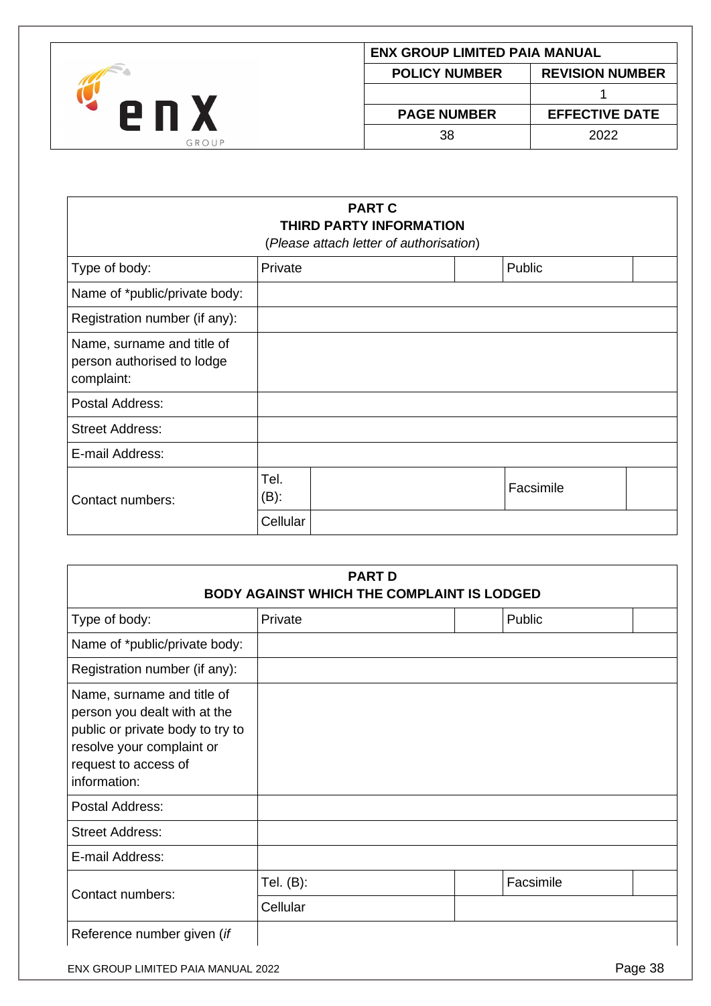

| <b>ENX GROUP LIMITED PAIA MANUAL</b>           |                       |  |  |
|------------------------------------------------|-----------------------|--|--|
| <b>POLICY NUMBER</b><br><b>REVISION NUMBER</b> |                       |  |  |
|                                                |                       |  |  |
| <b>PAGE NUMBER</b>                             | <b>EFFECTIVE DATE</b> |  |  |
| 38.                                            | 2022                  |  |  |
|                                                |                       |  |  |

# **PART C THIRD PARTY INFORMATION**

(*Please attach letter of authorisation*)

| Type of body:                                                          | Private         |  | Public    |  |
|------------------------------------------------------------------------|-----------------|--|-----------|--|
| Name of *public/private body:                                          |                 |  |           |  |
| Registration number (if any):                                          |                 |  |           |  |
| Name, surname and title of<br>person authorised to lodge<br>complaint: |                 |  |           |  |
| Postal Address:                                                        |                 |  |           |  |
| <b>Street Address:</b>                                                 |                 |  |           |  |
| E-mail Address:                                                        |                 |  |           |  |
| Contact numbers:                                                       | Tel.<br>$(B)$ : |  | Facsimile |  |
|                                                                        | Cellular        |  |           |  |

| <b>PART D</b><br><b>BODY AGAINST WHICH THE COMPLAINT IS LODGED</b>                                                                                                  |           |  |           |  |
|---------------------------------------------------------------------------------------------------------------------------------------------------------------------|-----------|--|-----------|--|
| Type of body:                                                                                                                                                       | Private   |  | Public    |  |
| Name of *public/private body:                                                                                                                                       |           |  |           |  |
| Registration number (if any):                                                                                                                                       |           |  |           |  |
| Name, surname and title of<br>person you dealt with at the<br>public or private body to try to<br>resolve your complaint or<br>request to access of<br>information: |           |  |           |  |
| Postal Address:                                                                                                                                                     |           |  |           |  |
| <b>Street Address:</b>                                                                                                                                              |           |  |           |  |
| E-mail Address:                                                                                                                                                     |           |  |           |  |
|                                                                                                                                                                     | Tel. (B): |  | Facsimile |  |
| Contact numbers:                                                                                                                                                    | Cellular  |  |           |  |
| Reference number given (if                                                                                                                                          |           |  |           |  |

ENX GROUP LIMITED PAIA MANUAL 2022 **Page 38**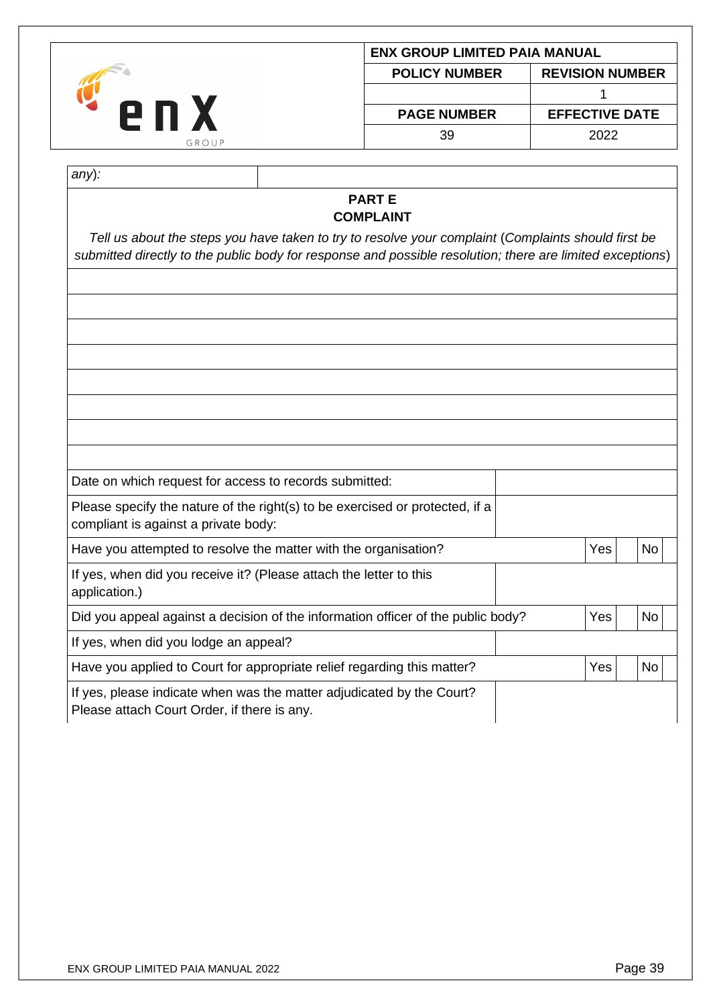| <b>POLICY NUMBER</b><br><b>PAGE NUMBER</b> | <b>ENX GROUP LIMITED PAIA MANUAL</b> |              |  |
|--------------------------------------------|--------------------------------------|--------------|--|
|                                            | <b>REVISION NUMBER</b>               | 2 N<br>GROUP |  |
|                                            |                                      |              |  |
|                                            | <b>EFFECTIVE DATE</b>                |              |  |
| 39                                         | 2022                                 |              |  |

| ×<br>۰, |  |
|---------|--|

#### **PART E COMPLAINT**

*Tell us about the steps you have taken to try to resolve your complaint* (*Complaints should first be submitted directly to the public body for response and possible resolution; there are limited exceptions*)

| Date on which request for access to records submitted:                                                               |     |           |
|----------------------------------------------------------------------------------------------------------------------|-----|-----------|
| Please specify the nature of the right(s) to be exercised or protected, if a<br>compliant is against a private body: |     |           |
| Have you attempted to resolve the matter with the organisation?                                                      | Yes | No        |
| If yes, when did you receive it? (Please attach the letter to this<br>application.)                                  |     |           |
| Did you appeal against a decision of the information officer of the public body?                                     | Yes | <b>No</b> |
| If yes, when did you lodge an appeal?                                                                                |     |           |
| Have you applied to Court for appropriate relief regarding this matter?                                              | Yes | <b>No</b> |
| If yes, please indicate when was the matter adjudicated by the Court?<br>Please attach Court Order, if there is any. |     |           |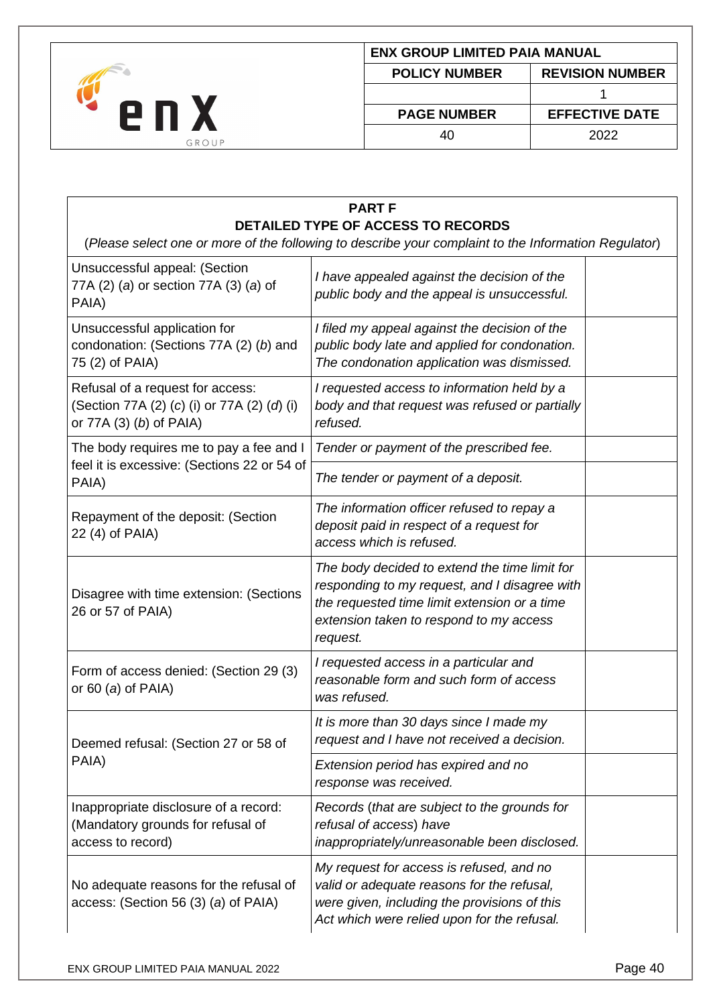

| ENX GROUP LIMITED PAIA MANUAL                  |                       |  |  |
|------------------------------------------------|-----------------------|--|--|
| <b>REVISION NUMBER</b><br><b>POLICY NUMBER</b> |                       |  |  |
|                                                |                       |  |  |
| <b>PAGE NUMBER</b>                             | <b>EFFECTIVE DATE</b> |  |  |
| 40                                             | 2022                  |  |  |
|                                                |                       |  |  |

| <b>PART F</b>                                                                                                                                     |                                                                                                                                                                                                       |  |  |  |
|---------------------------------------------------------------------------------------------------------------------------------------------------|-------------------------------------------------------------------------------------------------------------------------------------------------------------------------------------------------------|--|--|--|
| <b>DETAILED TYPE OF ACCESS TO RECORDS</b><br>(Please select one or more of the following to describe your complaint to the Information Regulator) |                                                                                                                                                                                                       |  |  |  |
| Unsuccessful appeal: (Section<br>77A (2) (a) or section 77A (3) (a) of<br>PAIA)                                                                   | I have appealed against the decision of the<br>public body and the appeal is unsuccessful.                                                                                                            |  |  |  |
| Unsuccessful application for<br>condonation: (Sections 77A (2) (b) and<br>75 (2) of PAIA)                                                         | I filed my appeal against the decision of the<br>public body late and applied for condonation.<br>The condonation application was dismissed.                                                          |  |  |  |
| Refusal of a request for access:<br>(Section 77A (2) (c) (i) or 77A (2) (d) (i)<br>or 77A (3) (b) of PAIA)                                        | I requested access to information held by a<br>body and that request was refused or partially<br>refused.                                                                                             |  |  |  |
| The body requires me to pay a fee and I                                                                                                           | Tender or payment of the prescribed fee.                                                                                                                                                              |  |  |  |
| feel it is excessive: (Sections 22 or 54 of<br>PAIA)                                                                                              | The tender or payment of a deposit.                                                                                                                                                                   |  |  |  |
| Repayment of the deposit: (Section<br>22 (4) of PAIA)                                                                                             | The information officer refused to repay a<br>deposit paid in respect of a request for<br>access which is refused.                                                                                    |  |  |  |
| Disagree with time extension: (Sections<br>26 or 57 of PAIA)                                                                                      | The body decided to extend the time limit for<br>responding to my request, and I disagree with<br>the requested time limit extension or a time<br>extension taken to respond to my access<br>request. |  |  |  |
| Form of access denied: (Section 29 (3)<br>or 60 (a) of PAIA)                                                                                      | I requested access in a particular and<br>reasonable form and such form of access<br>was refused.                                                                                                     |  |  |  |
| Deemed refusal: (Section 27 or 58 of                                                                                                              | It is more than 30 days since I made my<br>request and I have not received a decision.                                                                                                                |  |  |  |
| PAIA)                                                                                                                                             | Extension period has expired and no<br>response was received.                                                                                                                                         |  |  |  |
| Inappropriate disclosure of a record:<br>(Mandatory grounds for refusal of<br>access to record)                                                   | Records (that are subject to the grounds for<br>refusal of access) have<br>inappropriately/unreasonable been disclosed.                                                                               |  |  |  |
| No adequate reasons for the refusal of<br>access: (Section 56 (3) (a) of PAIA)                                                                    | My request for access is refused, and no<br>valid or adequate reasons for the refusal,<br>were given, including the provisions of this<br>Act which were relied upon for the refusal.                 |  |  |  |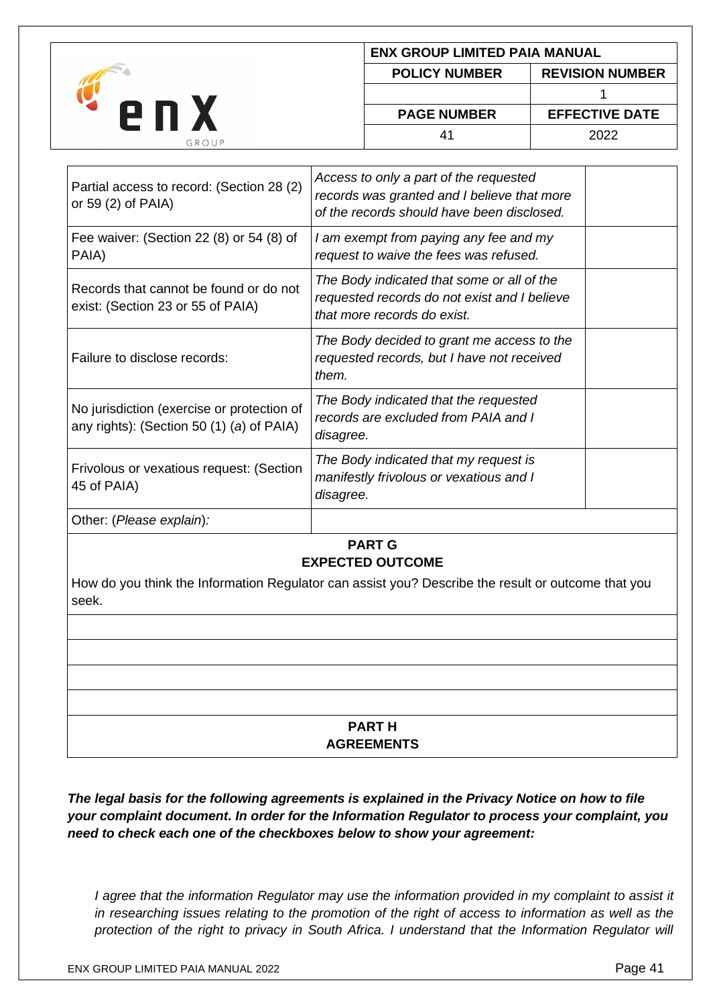|       |                      | <b>ENX GROUP LIMITED PAIA MANUAL</b> |  |  |
|-------|----------------------|--------------------------------------|--|--|
|       | <b>POLICY NUMBER</b> | <b>REVISION NUMBER</b>               |  |  |
|       |                      |                                      |  |  |
| PП    | <b>PAGE NUMBER</b>   | <b>EFFECTIVE DATE</b>                |  |  |
| GROUP | $4^{\prime}$         | 2022                                 |  |  |

| Partial access to record: (Section 28 (2)<br>or 59 $(2)$ of PAIA)                       | Access to only a part of the requested<br>records was granted and I believe that more<br>of the records should have been disclosed. |  |
|-----------------------------------------------------------------------------------------|-------------------------------------------------------------------------------------------------------------------------------------|--|
| Fee waiver: (Section 22 (8) or 54 (8) of<br>PAIA)                                       | I am exempt from paying any fee and my<br>request to waive the fees was refused.                                                    |  |
| Records that cannot be found or do not<br>exist: (Section 23 or 55 of PAIA)             | The Body indicated that some or all of the<br>requested records do not exist and I believe<br>that more records do exist.           |  |
| Failure to disclose records:                                                            | The Body decided to grant me access to the<br>requested records, but I have not received<br>them.                                   |  |
| No jurisdiction (exercise or protection of<br>any rights): (Section 50 (1) (a) of PAIA) | The Body indicated that the requested<br>records are excluded from PAIA and I<br>disagree.                                          |  |
| Frivolous or vexatious request: (Section<br>45 of PAIA)                                 | The Body indicated that my request is<br>manifestly frivolous or vexatious and I<br>disagree.                                       |  |
| Other: (Please explain):                                                                |                                                                                                                                     |  |

# **PART G EXPECTED OUTCOME**

How do you think the Information Regulator can assist you? Describe the result or outcome that you seek.

### **PART H AGREEMENTS**

*The legal basis for the following agreements is explained in the Privacy Notice on how to file your complaint document. In order for the Information Regulator to process your complaint, you need to check each one of the checkboxes below to show your agreement:*

*I agree that the information Regulator may use the information provided in my complaint to assist it in researching issues relating to the promotion of the right of access to information as well as the protection of the right to privacy in South Africa. I understand that the Information Regulator will*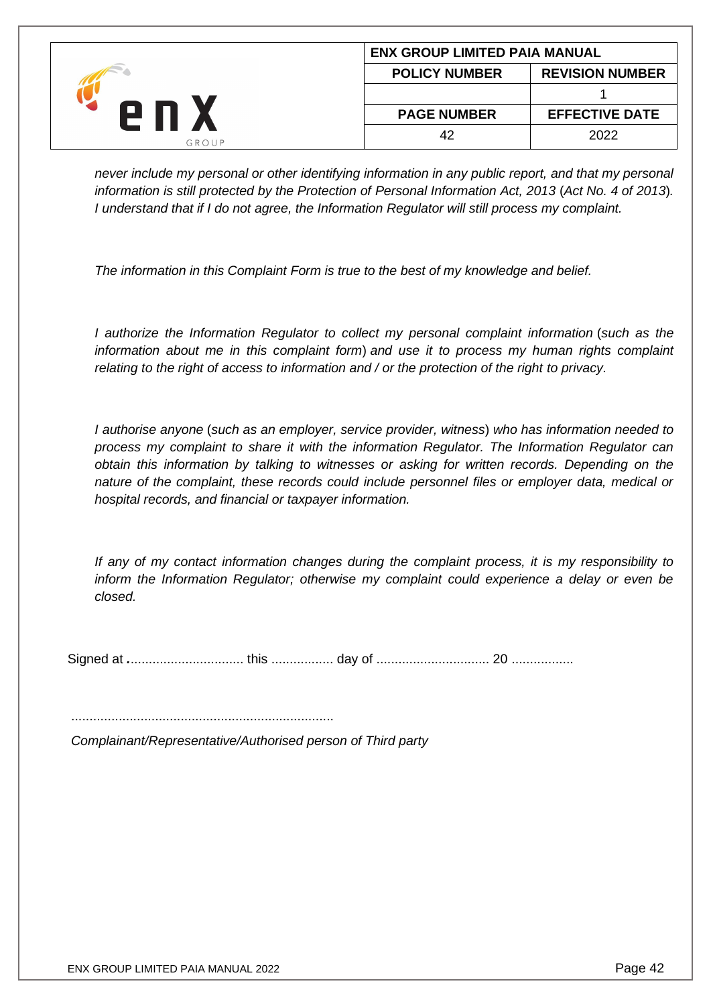|       | <b>ENX GROUP LIMITED PAIA MANUAL</b> |                        |  |
|-------|--------------------------------------|------------------------|--|
|       | <b>POLICY NUMBER</b>                 | <b>REVISION NUMBER</b> |  |
|       |                                      |                        |  |
|       | <b>PAGE NUMBER</b>                   | <b>EFFECTIVE DATE</b>  |  |
| GROUP | 42                                   | 2022                   |  |

*never include my personal or other identifying information in any public report, and that my personal information is still protected by the Protection of Personal Information Act, 2013* (*Act No. 4 of 2013*)*. I understand that if I do not agree, the Information Regulator will still process my complaint.*

*The information in this Complaint Form is true to the best of my knowledge and belief.*

*I authorize the Information Regulator to collect my personal complaint information* (*such as the information about me in this complaint form*) *and use it to process my human rights complaint relating to the right of access to information and / or the protection of the right to privacy.*

*I authorise anyone* (*such as an employer, service provider, witness*) *who has information needed to process my complaint to share it with the information Regulator. The Information Regulator can obtain this information by talking to witnesses or asking for written records. Depending on the nature of the complaint, these records could include personnel files or employer data, medical or hospital records, and financial or taxpayer information.*

*If any of my contact information changes during the complaint process, it is my responsibility to inform the Information Regulator; otherwise my complaint could experience a delay or even be closed.*

Signed at *.*............................... this ................. day of ............................... 20 .................

........................................................................

*Complainant/Representative/Authorised person of Third party*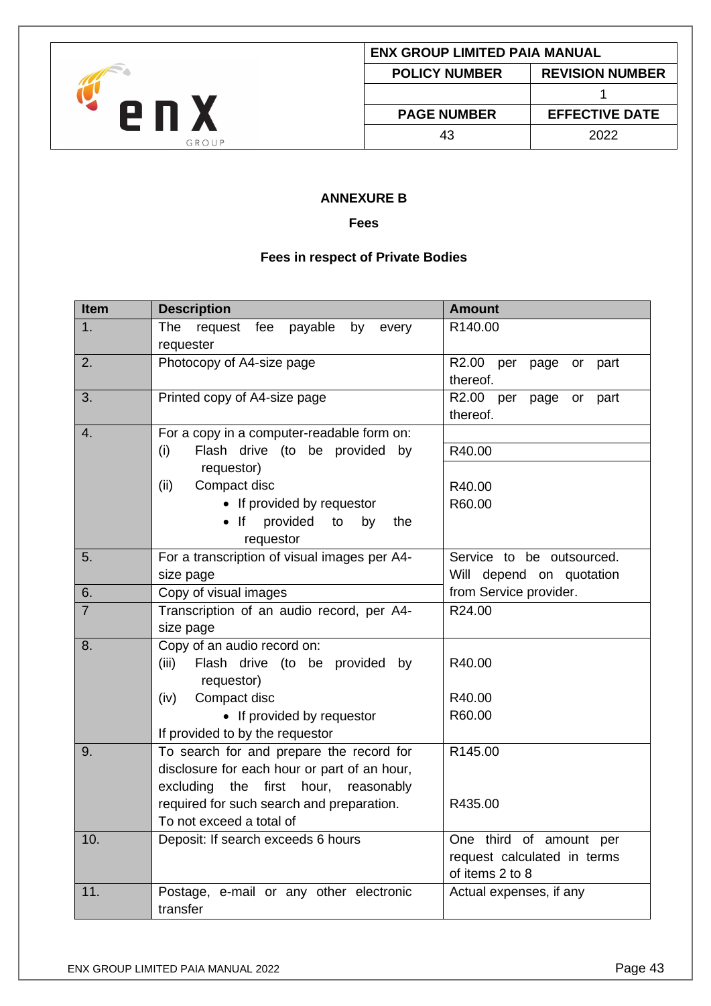

#### **ANNEXURE B**

#### **Fees**

## **Fees in respect of Private Bodies**

<span id="page-42-2"></span><span id="page-42-1"></span><span id="page-42-0"></span>

| Item           | <b>Description</b>                                        | <b>Amount</b>                               |
|----------------|-----------------------------------------------------------|---------------------------------------------|
| 1.             | The<br>request fee<br>payable<br>by<br>every<br>requester | R140.00                                     |
| 2.             | Photocopy of A4-size page                                 | R2.00 per<br>page or<br>part                |
|                |                                                           | thereof.                                    |
| 3.             | Printed copy of A4-size page                              | R <sub>2.00</sub><br>per<br>page or<br>part |
|                |                                                           | thereof.                                    |
| 4.             | For a copy in a computer-readable form on:                |                                             |
|                | Flash drive (to be provided by<br>(i)                     | R40.00                                      |
|                | requestor)                                                |                                             |
|                | Compact disc<br>(ii)                                      | R40.00                                      |
|                | • If provided by requestor                                | R60.00                                      |
|                | • If provided<br>to<br>by<br>the<br>requestor             |                                             |
| 5.             | For a transcription of visual images per A4-              | Service to be outsourced.                   |
|                | size page                                                 | Will depend on quotation                    |
| 6.             | Copy of visual images                                     | from Service provider.                      |
| $\overline{7}$ | Transcription of an audio record, per A4-                 | R24.00                                      |
|                | size page                                                 |                                             |
| 8.             | Copy of an audio record on:                               |                                             |
|                | (iii)<br>Flash drive (to be provided by                   | R40.00                                      |
|                | requestor)                                                |                                             |
|                | (iv)<br>Compact disc                                      | R40.00                                      |
|                | • If provided by requestor                                | R60.00                                      |
|                | If provided to by the requestor                           |                                             |
| 9.             | To search for and prepare the record for                  | R145.00                                     |
|                | disclosure for each hour or part of an hour,              |                                             |
|                | excluding<br>the first hour, reasonably                   |                                             |
|                | required for such search and preparation.                 | R435.00                                     |
|                | To not exceed a total of                                  |                                             |
| 10.            | Deposit: If search exceeds 6 hours                        | One third of amount per                     |
|                |                                                           | request calculated in terms                 |
|                |                                                           | of items 2 to 8                             |
| 11.            | Postage, e-mail or any other electronic                   | Actual expenses, if any                     |
|                | transfer                                                  |                                             |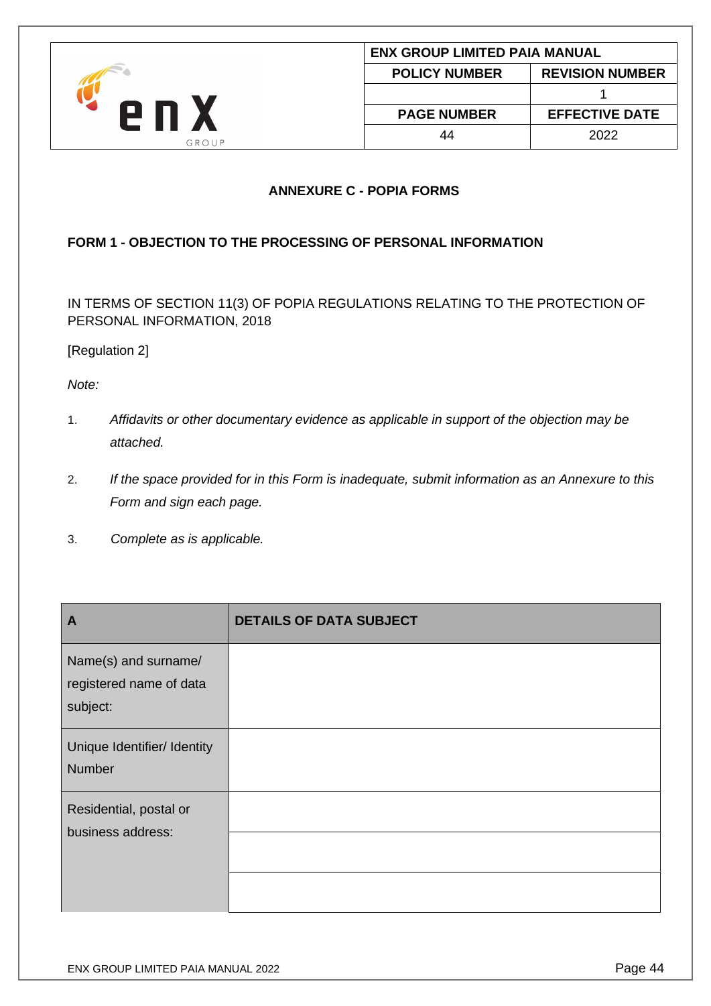

# **ANNEXURE C - POPIA FORMS**

# <span id="page-43-1"></span><span id="page-43-0"></span>**FORM 1 - OBJECTION TO THE PROCESSING OF PERSONAL INFORMATION**

IN TERMS OF SECTION 11(3) OF POPIA REGULATIONS RELATING TO THE PROTECTION OF PERSONAL INFORMATION, 2018

# [Regulation 2]

*Note:* 

- 1. *Affidavits or other documentary evidence as applicable in support of the objection may be attached.*
- 2. *If the space provided for in this Form is inadequate, submit information as an Annexure to this Form and sign each page.*
- 3. *Complete as is applicable.*

| $\mathbf{A}$                                                | <b>DETAILS OF DATA SUBJECT</b> |
|-------------------------------------------------------------|--------------------------------|
| Name(s) and surname/<br>registered name of data<br>subject: |                                |
| Unique Identifier/ Identity<br><b>Number</b>                |                                |
| Residential, postal or<br>business address:                 |                                |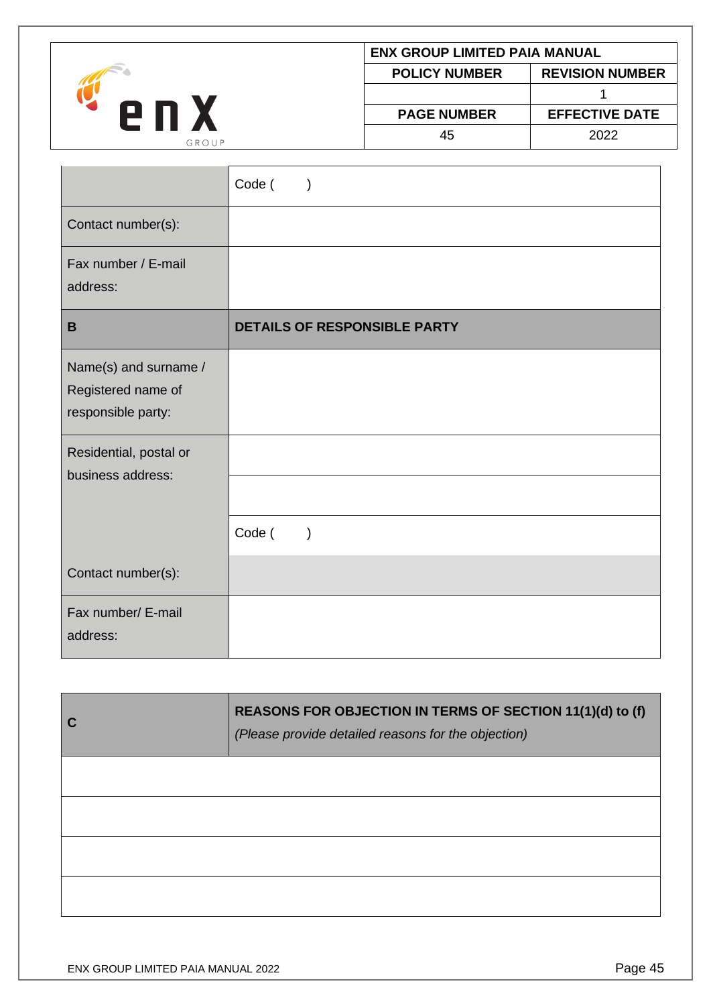

| <b>ENX GROUP LIMITED PAIA MANUAL</b>           |                       |  |  |
|------------------------------------------------|-----------------------|--|--|
| <b>REVISION NUMBER</b><br><b>POLICY NUMBER</b> |                       |  |  |
|                                                |                       |  |  |
| <b>PAGE NUMBER</b>                             | <b>EFFECTIVE DATE</b> |  |  |
| 45                                             | 2022                  |  |  |

|                                                                   | Code (<br>$\lambda$                 |
|-------------------------------------------------------------------|-------------------------------------|
| Contact number(s):                                                |                                     |
| Fax number / E-mail<br>address:                                   |                                     |
| $\mathbf B$                                                       | <b>DETAILS OF RESPONSIBLE PARTY</b> |
| Name(s) and surname /<br>Registered name of<br>responsible party: |                                     |
| Residential, postal or<br>business address:                       |                                     |
|                                                                   | Code (<br>$\lambda$                 |
| Contact number(s):                                                |                                     |
| Fax number/ E-mail<br>address:                                    |                                     |

| C | REASONS FOR OBJECTION IN TERMS OF SECTION 11(1)(d) to (f)<br>(Please provide detailed reasons for the objection) |
|---|------------------------------------------------------------------------------------------------------------------|
|   |                                                                                                                  |
|   |                                                                                                                  |
|   |                                                                                                                  |
|   |                                                                                                                  |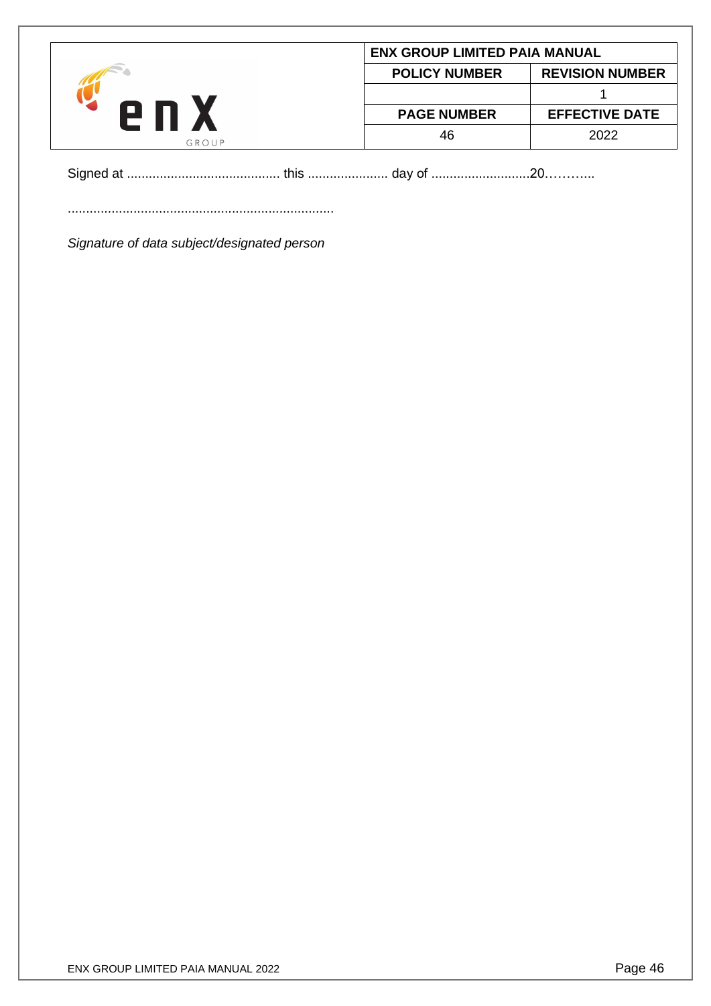|       | <b>ENX GROUP LIMITED PAIA MANUAL</b> |                        |
|-------|--------------------------------------|------------------------|
|       | <b>POLICY NUMBER</b>                 | <b>REVISION NUMBER</b> |
|       |                                      |                        |
|       | <b>PAGE NUMBER</b>                   | <b>EFFECTIVE DATE</b>  |
| GROUP | 46                                   | 2022                   |

Signed at .......................................... this ...................... day of ...........................20………...

.........................................................................

*Signature of data subject/designated person*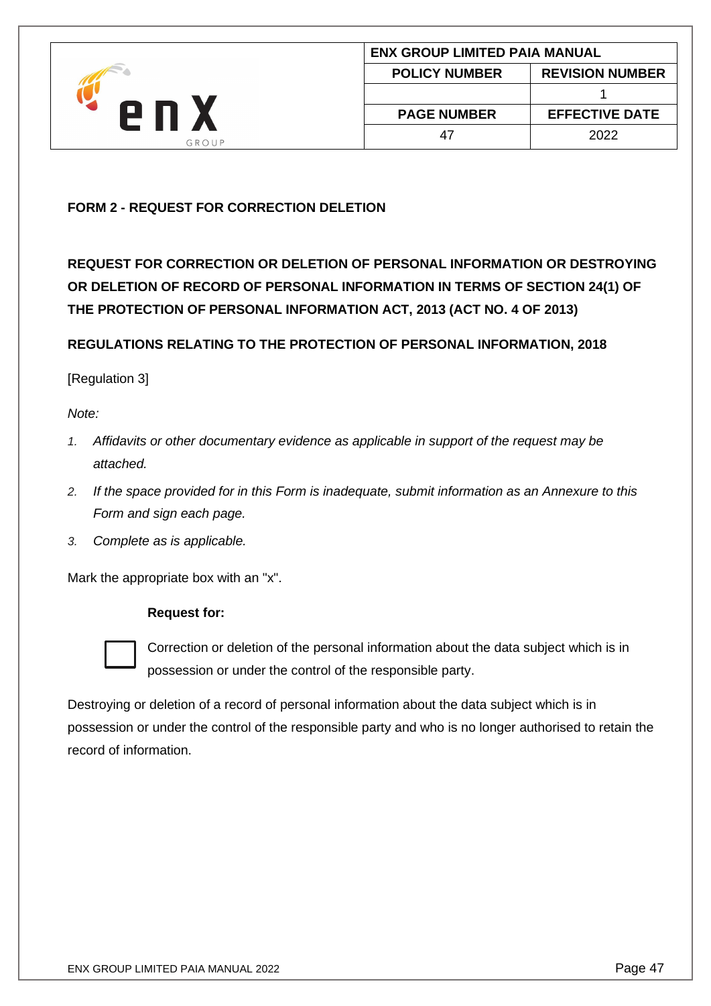

# <span id="page-46-0"></span>**FORM 2 - REQUEST FOR CORRECTION DELETION**

**REQUEST FOR CORRECTION OR DELETION OF PERSONAL INFORMATION OR DESTROYING OR DELETION OF RECORD OF PERSONAL INFORMATION IN TERMS OF SECTION 24(1) OF THE PROTECTION OF PERSONAL INFORMATION ACT, 2013 (ACT NO. 4 OF 2013)**

**REGULATIONS RELATING TO THE PROTECTION OF PERSONAL INFORMATION, 2018**

### [Regulation 3]

*Note:* 

- *1. Affidavits or other documentary evidence as applicable in support of the request may be attached.*
- *2. If the space provided for in this Form is inadequate, submit information as an Annexure to this Form and sign each page.*
- *3. Complete as is applicable.*

Mark the appropriate box with an "x".

#### **Request for:**



Correction or deletion of the personal information about the data subject which is in possession or under the control of the responsible party.

Destroying or deletion of a record of personal information about the data subject which is in possession or under the control of the responsible party and who is no longer authorised to retain the record of information.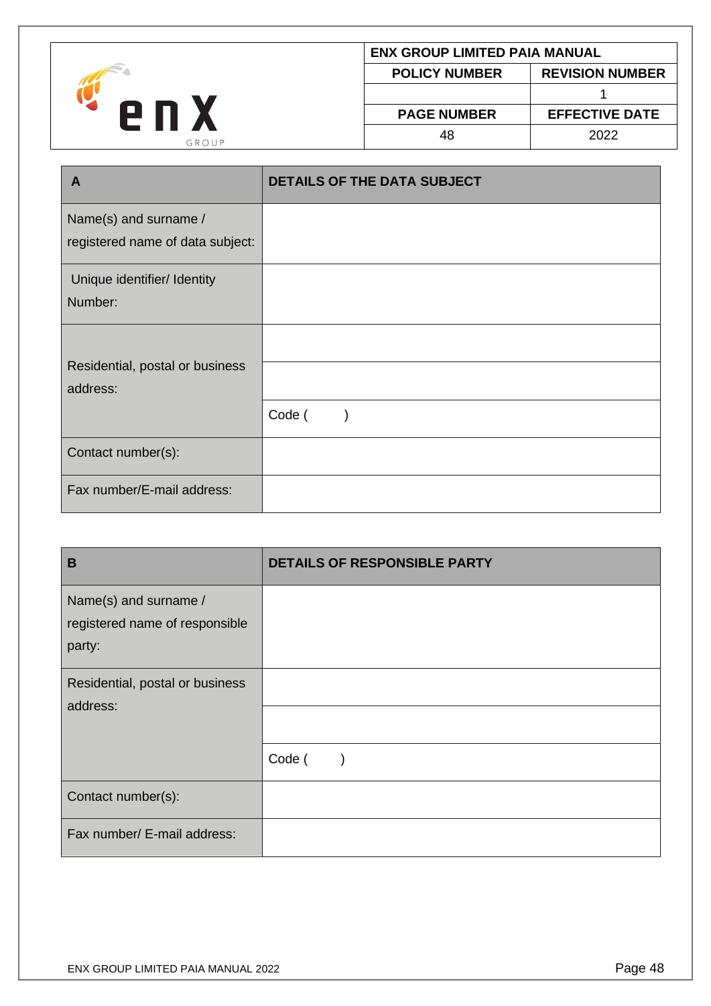

| ENX GROUP LIMITED PAIA MANUAL |                        |
|-------------------------------|------------------------|
| <b>POLICY NUMBER</b>          | <b>REVISION NUMBER</b> |
|                               |                        |
| <b>PAGE NUMBER</b>            | <b>EFFECTIVE DATE</b>  |
| 48                            | 2022                   |

| A                                                         | <b>DETAILS OF THE DATA SUBJECT</b> |
|-----------------------------------------------------------|------------------------------------|
| Name(s) and surname /<br>registered name of data subject: |                                    |
| Unique identifier/ Identity<br>Number:                    |                                    |
| Residential, postal or business<br>address:               |                                    |
| Contact number(s):                                        | Code (                             |
| Fax number/E-mail address:                                |                                    |

| B                                                                 | <b>DETAILS OF RESPONSIBLE PARTY</b> |
|-------------------------------------------------------------------|-------------------------------------|
| Name(s) and surname /<br>registered name of responsible<br>party: |                                     |
| Residential, postal or business<br>address:                       |                                     |
|                                                                   | Code (                              |
| Contact number(s):                                                |                                     |
| Fax number/ E-mail address:                                       |                                     |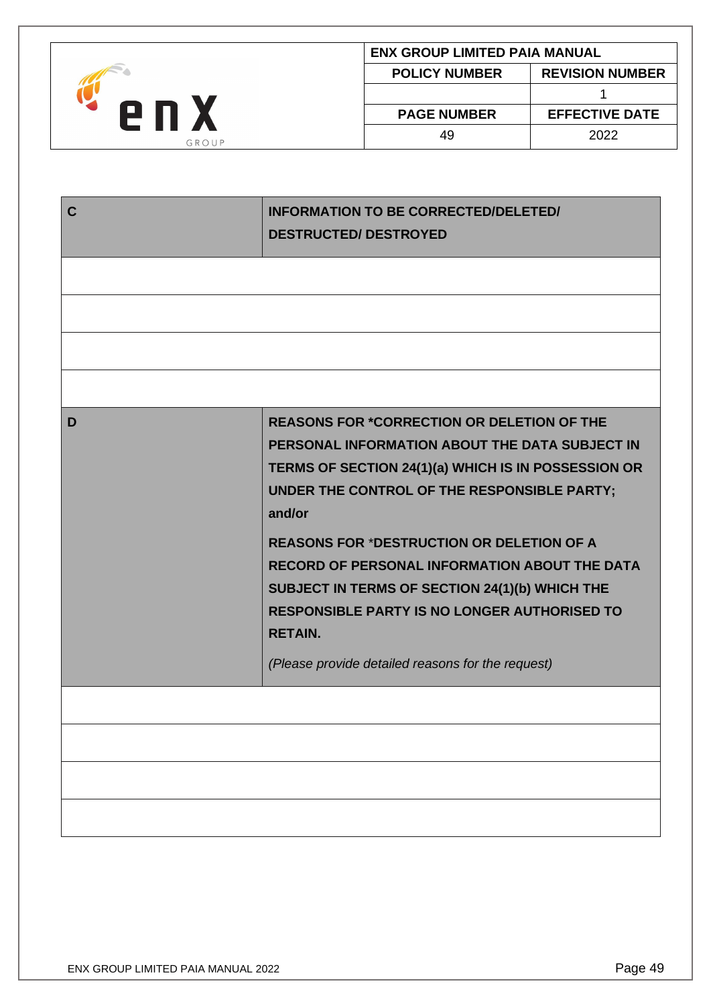| <b>POLICY NUMBER</b><br>2 N<br><b>EFFECTIVE DATE</b><br><b>PAGE NUMBER</b> |    |                                      |
|----------------------------------------------------------------------------|----|--------------------------------------|
|                                                                            |    | <b>REVISION NUMBER</b>               |
|                                                                            |    |                                      |
|                                                                            |    |                                      |
|                                                                            | 49 | 2022                                 |
| GROUP                                                                      |    | <b>ENX GROUP LIMITED PAIA MANUAL</b> |

| $\mathbf C$ | <b>INFORMATION TO BE CORRECTED/DELETED/</b>                                                         |
|-------------|-----------------------------------------------------------------------------------------------------|
|             | <b>DESTRUCTED/ DESTROYED</b>                                                                        |
|             |                                                                                                     |
|             |                                                                                                     |
|             |                                                                                                     |
|             |                                                                                                     |
|             |                                                                                                     |
|             |                                                                                                     |
| D           | <b>REASONS FOR *CORRECTION OR DELETION OF THE</b><br>PERSONAL INFORMATION ABOUT THE DATA SUBJECT IN |
|             | TERMS OF SECTION 24(1)(a) WHICH IS IN POSSESSION OR                                                 |
|             | UNDER THE CONTROL OF THE RESPONSIBLE PARTY;<br>and/or                                               |
|             | <b>REASONS FOR *DESTRUCTION OR DELETION OF A</b>                                                    |
|             | RECORD OF PERSONAL INFORMATION ABOUT THE DATA                                                       |
|             | SUBJECT IN TERMS OF SECTION 24(1)(b) WHICH THE                                                      |
|             | <b>RESPONSIBLE PARTY IS NO LONGER AUTHORISED TO</b><br><b>RETAIN.</b>                               |
|             | (Please provide detailed reasons for the request)                                                   |
|             |                                                                                                     |
|             |                                                                                                     |
|             |                                                                                                     |
|             |                                                                                                     |
|             |                                                                                                     |
|             |                                                                                                     |
|             |                                                                                                     |
|             |                                                                                                     |
|             |                                                                                                     |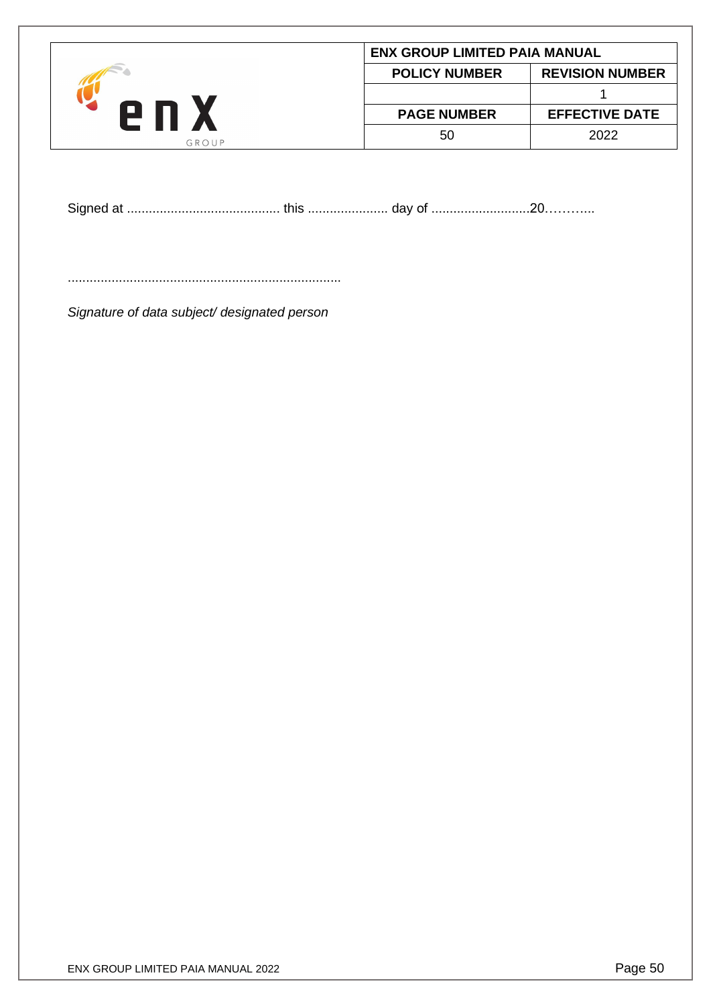|       | <b>ENX GROUP LIMITED PAIA MANUAL</b> |                        |
|-------|--------------------------------------|------------------------|
|       | <b>POLICY NUMBER</b>                 | <b>REVISION NUMBER</b> |
|       |                                      |                        |
| en x  | <b>PAGE NUMBER</b>                   | <b>EFFECTIVE DATE</b>  |
| GROUP | 50                                   | 2022                   |

Signed at .......................................... this ...................... day of ...........................20………...

...........................................................................

*Signature of data subject/ designated person*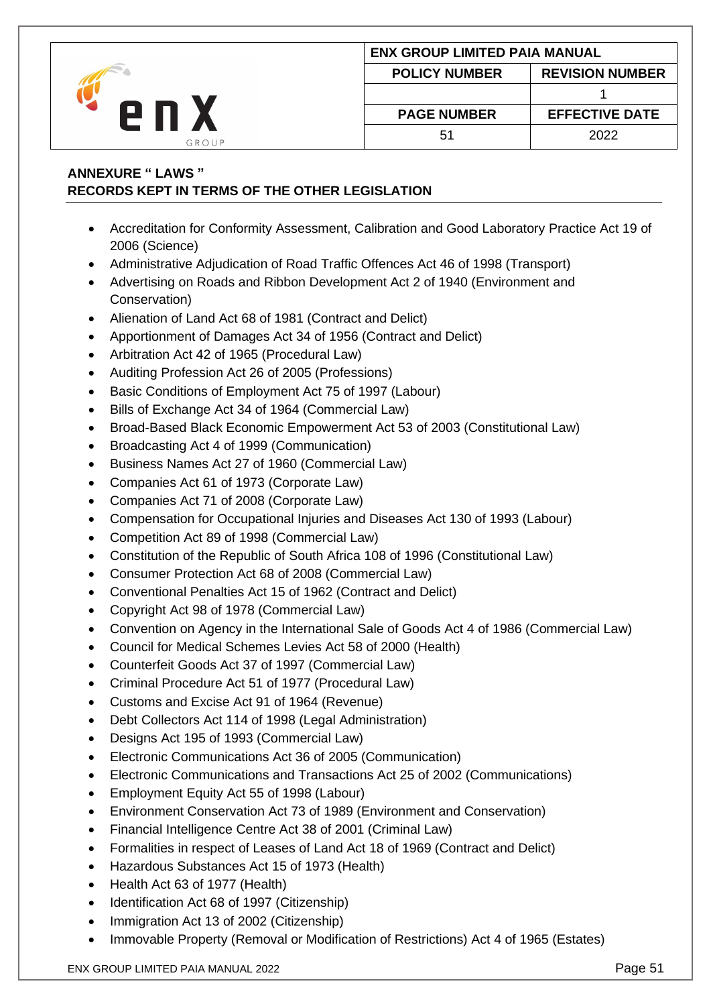|       | <b>ENX GROUP LIMITED PAIA MANUAL</b> |                        |
|-------|--------------------------------------|------------------------|
|       | <b>POLICY NUMBER</b>                 | <b>REVISION NUMBER</b> |
|       |                                      |                        |
| e n   | <b>PAGE NUMBER</b>                   | <b>EFFECTIVE DATE</b>  |
| GROUP | 5 <sup>1</sup>                       | 2022                   |

# <span id="page-50-0"></span>**ANNEXURE " LAWS " RECORDS KEPT IN TERMS OF THE OTHER LEGISLATION**

- Accreditation for Conformity Assessment, Calibration and Good Laboratory Practice Act 19 of 2006 (Science)
- Administrative Adjudication of Road Traffic Offences Act 46 of 1998 (Transport)
- Advertising on Roads and Ribbon Development Act 2 of 1940 (Environment and Conservation)
- Alienation of Land Act 68 of 1981 (Contract and Delict)
- Apportionment of Damages Act 34 of 1956 (Contract and Delict)
- Arbitration Act 42 of 1965 (Procedural Law)
- Auditing Profession Act 26 of 2005 (Professions)
- Basic Conditions of Employment Act 75 of 1997 (Labour)
- Bills of Exchange Act 34 of 1964 (Commercial Law)
- Broad-Based Black Economic Empowerment Act 53 of 2003 (Constitutional Law)
- Broadcasting Act 4 of 1999 (Communication)
- Business Names Act 27 of 1960 (Commercial Law)
- Companies Act 61 of 1973 (Corporate Law)
- Companies Act 71 of 2008 (Corporate Law)
- Compensation for Occupational Injuries and Diseases Act 130 of 1993 (Labour)
- Competition Act 89 of 1998 (Commercial Law)
- Constitution of the Republic of South Africa 108 of 1996 (Constitutional Law)
- Consumer Protection Act 68 of 2008 (Commercial Law)
- Conventional Penalties Act 15 of 1962 (Contract and Delict)
- Copyright Act 98 of 1978 (Commercial Law)
- Convention on Agency in the International Sale of Goods Act 4 of 1986 (Commercial Law)
- Council for Medical Schemes Levies Act 58 of 2000 (Health)
- Counterfeit Goods Act 37 of 1997 (Commercial Law)
- Criminal Procedure Act 51 of 1977 (Procedural Law)
- Customs and Excise Act 91 of 1964 (Revenue)
- Debt Collectors Act 114 of 1998 (Legal Administration)
- Designs Act 195 of 1993 (Commercial Law)
- Electronic Communications Act 36 of 2005 (Communication)
- Electronic Communications and Transactions Act 25 of 2002 (Communications)
- Employment Equity Act 55 of 1998 (Labour)
- Environment Conservation Act 73 of 1989 (Environment and Conservation)
- Financial Intelligence Centre Act 38 of 2001 (Criminal Law)
- Formalities in respect of Leases of Land Act 18 of 1969 (Contract and Delict)
- Hazardous Substances Act 15 of 1973 (Health)
- Health Act 63 of 1977 (Health)
- Identification Act 68 of 1997 (Citizenship)
- Immigration Act 13 of 2002 (Citizenship)
- Immovable Property (Removal or Modification of Restrictions) Act 4 of 1965 (Estates)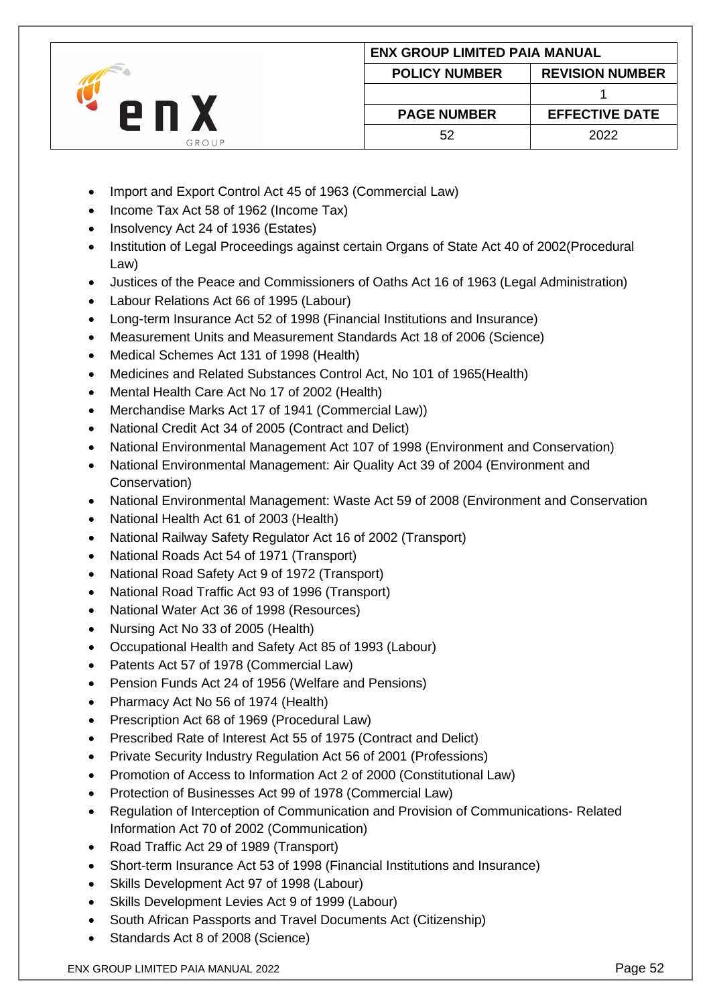|       | <b>ENX GROUP LIMITED PAIA MANUAL</b> |                        |
|-------|--------------------------------------|------------------------|
|       | <b>POLICY NUMBER</b>                 | <b>REVISION NUMBER</b> |
|       |                                      |                        |
| 2 N   | <b>PAGE NUMBER</b>                   | <b>EFFECTIVE DATE</b>  |
| GROUP | 52                                   | 2022                   |

- Import and Export Control Act 45 of 1963 (Commercial Law)
- Income Tax Act 58 of 1962 (Income Tax)
- Insolvency Act 24 of 1936 (Estates)
- Institution of Legal Proceedings against certain Organs of State Act 40 of 2002(Procedural Law)
- Justices of the Peace and Commissioners of Oaths Act 16 of 1963 (Legal Administration)
- Labour Relations Act 66 of 1995 (Labour)
- Long-term Insurance Act 52 of 1998 (Financial Institutions and Insurance)
- Measurement Units and Measurement Standards Act 18 of 2006 (Science)
- Medical Schemes Act 131 of 1998 (Health)
- Medicines and Related Substances Control Act, No 101 of 1965(Health)
- Mental Health Care Act No 17 of 2002 (Health)
- Merchandise Marks Act 17 of 1941 (Commercial Law))
- National Credit Act 34 of 2005 (Contract and Delict)
- National Environmental Management Act 107 of 1998 (Environment and Conservation)
- National Environmental Management: Air Quality Act 39 of 2004 (Environment and Conservation)
- National Environmental Management: Waste Act 59 of 2008 (Environment and Conservation
- National Health Act 61 of 2003 (Health)
- National Railway Safety Regulator Act 16 of 2002 (Transport)
- National Roads Act 54 of 1971 (Transport)
- National Road Safety Act 9 of 1972 (Transport)
- National Road Traffic Act 93 of 1996 (Transport)
- National Water Act 36 of 1998 (Resources)
- Nursing Act No 33 of 2005 (Health)
- Occupational Health and Safety Act 85 of 1993 (Labour)
- Patents Act 57 of 1978 (Commercial Law)
- Pension Funds Act 24 of 1956 (Welfare and Pensions)
- Pharmacy Act No 56 of 1974 (Health)
- Prescription Act 68 of 1969 (Procedural Law)
- Prescribed Rate of Interest Act 55 of 1975 (Contract and Delict)
- Private Security Industry Regulation Act 56 of 2001 (Professions)
- Promotion of Access to Information Act 2 of 2000 (Constitutional Law)
- Protection of Businesses Act 99 of 1978 (Commercial Law)
- Regulation of Interception of Communication and Provision of Communications- Related Information Act 70 of 2002 (Communication)
- Road Traffic Act 29 of 1989 (Transport)
- Short-term Insurance Act 53 of 1998 (Financial Institutions and Insurance)
- Skills Development Act 97 of 1998 (Labour)
- Skills Development Levies Act 9 of 1999 (Labour)
- South African Passports and Travel Documents Act (Citizenship)
- Standards Act 8 of 2008 (Science)